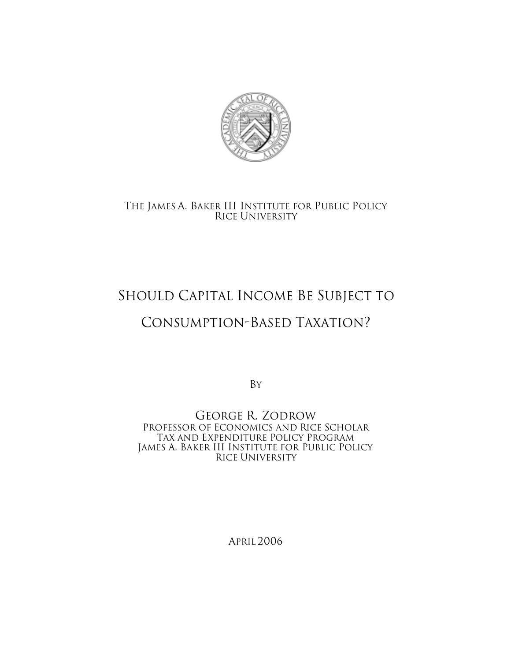

# THE JAMES A. BAKER III INSTITUTE FOR PUBLIC POLICY RICE UNIVERSITY

# SHOULD CAPITAL INCOME BE SUBJECT TO

# CONSUMPTION-BASED TAXATION?

BY

GEORGE R. ZODROW PROFESSOR OF ECONOMICS AND RICE SCHOLAR TAX AND EXPENDITURE POLICY PROGRAM JAMES A. BAKER III INSTITUTE FOR PUBLIC POLICY RICE UNIVERSITY

APRIL 2006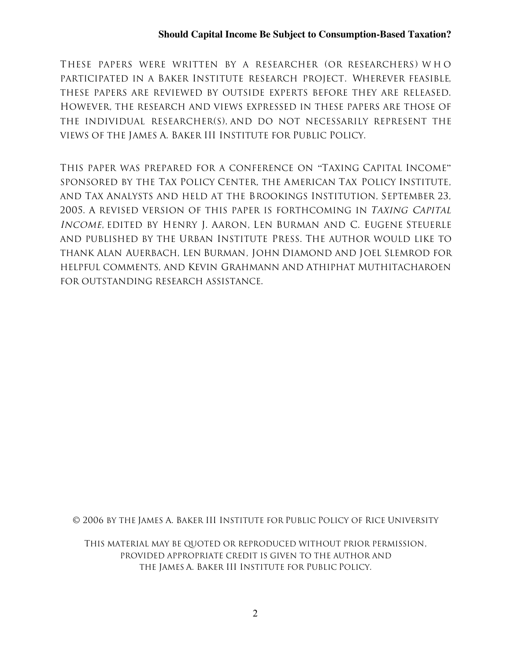THESE PAPERS WERE WRITTEN BY A RESEARCHER (OR RESEARCHERS) WHO PARTICIPATED IN A BAKER INSTITUTE RESEARCH PROJECT. WHEREVER FEASIBLE, THESE PAPERS ARE REVIEWED BY OUTSIDE EXPERTS BEFORE THEY ARE RELEASED. HOWEVER, THE RESEARCH AND VIEWS EXPRESSED IN THESE PAPERS ARE THOSE OF THE INDIVIDUAL RESEARCHER(S), AND DO NOT NECESSARILY REPRESENT THE VIEWS OF THE JAMES A. BAKER III INSTITUTE FOR PUBLIC POLICY.

THIS PAPER WAS PREPARED FOR A CONFERENCE ON "TAXING CAPITAL INCOME" SPONSORED BY THE TAX POLICY CENTER, THE AMERICAN TAX POLICY INSTITUTE, AND TAX ANALYSTS AND HELD AT THE BROOKINGS INSTITUTION, SEPTEMBER 23, 2005. A REVISED VERSION OF THIS PAPER IS FORTHCOMING IN TAXING CAPITAL INCOME, EDITED BY HENRY J. AARON, LEN BURMAN AND C. EUGENE STEUERLE AND PUBLISHED BY THE URBAN INSTITUTE PRESS. THE AUTHOR WOULD LIKE TO THANK ALAN AUERBACH, LEN BURMAN, JOHN DIAMOND AND JOEL SLEMROD FOR HELPFUL COMMENTS, AND KEVIN GRAHMANN AND ATHIPHAT MUTHITACHAROEN FOR OUTSTANDING RESEARCH ASSISTANCE.

© 2006 BY THE JAMES A. BAKER III INSTITUTE FOR PUBLIC POLICY OF RICE UNIVERSITY

THIS MATERIAL MAY BE QUOTED OR REPRODUCED WITHOUT PRIOR PERMISSION, PROVIDED APPROPRIATE CREDIT IS GIVEN TO THE AUTHOR AND THE JAMES A. BAKER III INSTITUTE FOR PUBLIC POLICY.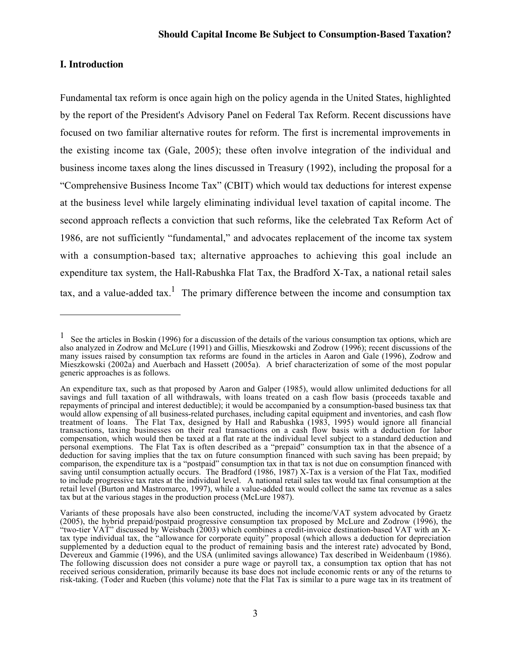## **I. Introduction**

 $\overline{a}$ 

Fundamental tax reform is once again high on the policy agenda in the United States, highlighted by the report of the President's Advisory Panel on Federal Tax Reform. Recent discussions have focused on two familiar alternative routes for reform. The first is incremental improvements in the existing income tax (Gale, 2005); these often involve integration of the individual and business income taxes along the lines discussed in Treasury (1992), including the proposal for a "Comprehensive Business Income Tax" (CBIT) which would tax deductions for interest expense at the business level while largely eliminating individual level taxation of capital income. The second approach reflects a conviction that such reforms, like the celebrated Tax Reform Act of 1986, are not sufficiently "fundamental," and advocates replacement of the income tax system with a consumption-based tax; alternative approaches to achieving this goal include an expenditure tax system, the Hall-Rabushka Flat Tax, the Bradford X-Tax, a national retail sales tax, and a value-added tax.<sup>1</sup> The primary difference between the income and consumption tax

<sup>&</sup>lt;sup>1</sup> See the articles in Boskin (1996) for a discussion of the details of the various consumption tax options, which are also analyzed in Zodrow and McLure (1991) and Gillis, Mieszkowski and Zodrow (1996); recent discussions of the many issues raised by consumption tax reforms are found in the articles in Aaron and Gale (1996), Zodrow and Mieszkowski (2002a) and Auerbach and Hassett (2005a). A brief characterization of some of the most popular generic approaches is as follows.

An expenditure tax, such as that proposed by Aaron and Galper (1985), would allow unlimited deductions for all savings and full taxation of all withdrawals, with loans treated on a cash flow basis (proceeds taxable and repayments of principal and interest deductible); it would be accompanied by a consumption-based business tax that would allow expensing of all business-related purchases, including capital equipment and inventories, and cash flow treatment of loans. The Flat Tax, designed by Hall and Rabushka (1983, 1995) would ignore all financial transactions, taxing businesses on their real transactions on a cash flow basis with a deduction for labor compensation, which would then be taxed at a flat rate at the individual level subject to a standard deduction and personal exemptions. The Flat Tax is often described as a "prepaid" consumption tax in that the absence of a deduction for saving implies that the tax on future consumption financed with such saving has been prepaid; by comparison, the expenditure tax is a "postpaid" consumption tax in that tax is not due on consumption financed with saving until consumption actually occurs. The Bradford (1986, 1987) X-Tax is a version of the Flat Tax, modified to include progressive tax rates at the individual level. A national retail sales tax would tax final consumption at the retail level (Burton and Mastromarco, 1997), while a value-added tax would collect the same tax revenue as a sales tax but at the various stages in the production process (McLure 1987).

Variants of these proposals have also been constructed, including the income/VAT system advocated by Graetz (2005), the hybrid prepaid/postpaid progressive consumption tax proposed by McLure and Zodrow (1996), the "two-tier VAT" discussed by Weisbach (2003) which combines a credit-invoice destination-based VAT with an Xtax type individual tax, the "allowance for corporate equity" proposal (which allows a deduction for depreciation supplemented by a deduction equal to the product of remaining basis and the interest rate) advocated by Bond, Devereux and Gammie (1996), and the USA (unlimited savings allowance) Tax described in Weidenbaum (1986). The following discussion does not consider a pure wage or payroll tax, a consumption tax option that has not received serious consideration, primarily because its base does not include economic rents or any of the returns to risk-taking. (Toder and Rueben (this volume) note that the Flat Tax is similar to a pure wage tax in its treatment of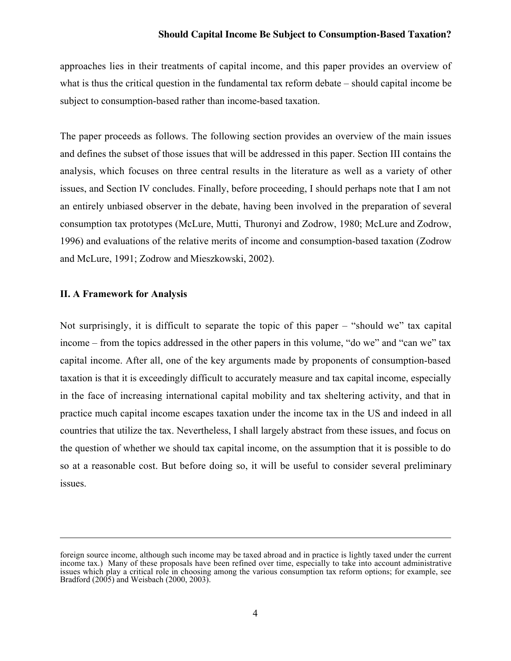approaches lies in their treatments of capital income, and this paper provides an overview of what is thus the critical question in the fundamental tax reform debate – should capital income be subject to consumption-based rather than income-based taxation.

The paper proceeds as follows. The following section provides an overview of the main issues and defines the subset of those issues that will be addressed in this paper. Section III contains the analysis, which focuses on three central results in the literature as well as a variety of other issues, and Section IV concludes. Finally, before proceeding, I should perhaps note that I am not an entirely unbiased observer in the debate, having been involved in the preparation of several consumption tax prototypes (McLure, Mutti, Thuronyi and Zodrow, 1980; McLure and Zodrow, 1996) and evaluations of the relative merits of income and consumption-based taxation (Zodrow and McLure, 1991; Zodrow and Mieszkowski, 2002).

#### II. A Framework for Analysis

 $\overline{a}$ 

Not surprisingly, it is difficult to separate the topic of this paper – "should we" tax capital income – from the topics addressed in the other papers in this volume, "do we" and "can we" tax capital income. After all, one of the key arguments made by proponents of consumption-based taxation is that it is exceedingly difficult to accurately measure and tax capital income, especially in the face of increasing international capital mobility and tax sheltering activity, and that in practice much capital income escapes taxation under the income tax in the US and indeed in all countries that utilize the tax. Nevertheless, I shall largely abstract from these issues, and focus on the question of whether we should tax capital income, on the assumption that it is possible to do so at a reasonable cost. But before doing so, it will be useful to consider several preliminary issues.

foreign source income, although such income may be taxed abroad and in practice is lightly taxed under the current income tax.) Many of these proposals have been refined over time, especially to take into account administrative issues which play a critical role in choosing among the various consumption tax reform options; for example, see Bradford (2005) and Weisbach (2000, 2003).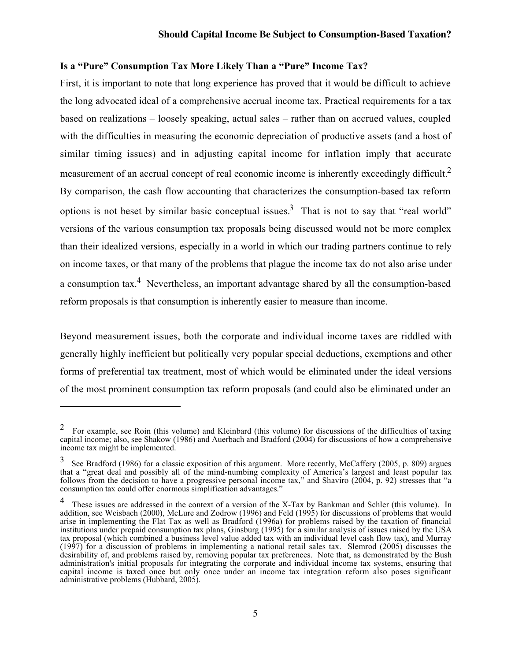# Is a "Pure" Consumption Tax More Likely Than a "Pure" Income Tax?

First, it is important to note that long experience has proved that it would be difficult to achieve the long advocated ideal of a comprehensive accrual income tax. Practical requirements for a tax based on realizations – loosely speaking, actual sales – rather than on accrued values, coupled with the difficulties in measuring the economic depreciation of productive assets (and a host of similar timing issues) and in adjusting capital income for inflation imply that accurate measurement of an accrual concept of real economic income is inherently exceedingly difficult.<sup>2</sup> By comparison, the cash flow accounting that characterizes the consumption-based tax reform options is not beset by similar basic conceptual issues.<sup>3</sup> That is not to say that "real world" versions of the various consumption tax proposals being discussed would not be more complex than their idealized versions, especially in a world in which our trading partners continue to rely on income taxes, or that many of the problems that plague the income tax do not also arise under a consumption tax.<sup>4</sup> Nevertheless, an important advantage shared by all the consumption-based reform proposals is that consumption is inherently easier to measure than income.

Beyond measurement issues, both the corporate and individual income taxes are riddled with generally highly inefficient but politically very popular special deductions, exemptions and other forms of preferential tax treatment, most of which would be eliminated under the ideal versions of the most prominent consumption tax reform proposals (and could also be eliminated under an

 $\overline{\phantom{0}}$ 

<sup>&</sup>lt;sup>2</sup> For example, see Roin (this volume) and Kleinbard (this volume) for discussions of the difficulties of taxing capital income; also, see Shakow (1986) and Auerbach and Bradford (2004) for discussions of how a comprehensive income tax might be implemented.

 $3\text{$  See Bradford (1986) for a classic exposition of this argument. More recently, McCarthy (2005, p. 809) argues.} that a "great deal and possibly all of the mind-numbing complexity of America's largest and least popular tax follows from the decision to have a progressive personal income tax," and Shaviro (2004, p. 92) stresses that "a consumption tax could offer enormous simplification advantages."

<sup>&</sup>lt;sup>4</sup> These issues are addressed in the context of a version of the X-Tax by Bankman and Schler (this volume). In addition, see Weisbach (2000), McLure and Zodrow (1996) and Feld (1995) for discussions of problems that would arise in implementing the Flat Tax as well as Bradford (1996a) for problems raised by the taxation of financial institutions under prepaid consumption tax plans, Ginsburg (1995) for a similar analysis of issues raised by the USA tax proposal (which combined a business level value added tax with an individual level cash flow tax), and Murray (1997) for a discussion of problems in implementing a national retail sales tax. Slemrod (2005) discusses the desirability of, and problems raised by, removing popular tax preferences. Note that, as demonstrated by the Bush administration's initial proposals for integrating the corporate and individual income tax systems, ensuring that capital income is taxed once but only once under an income tax integration reform also poses significant administrative problems (Hubbard, 2005).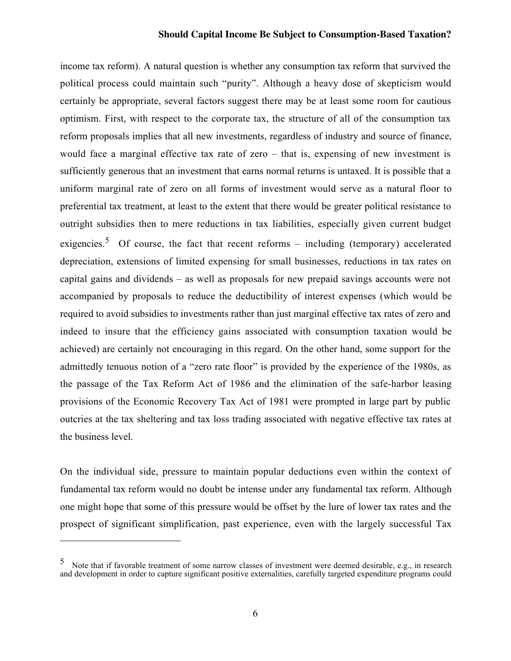income tax reform). A natural question is whether any consumption tax reform that survived the political process could maintain such "purity". Although a heavy dose of skepticism would certainly be appropriate, several factors suggest there may be at least some room for cautious optimism. First, with respect to the corporate tax, the structure of all of the consumption tax reform proposals implies that all new investments, regardless of industry and source of finance, would face a marginal effective tax rate of zero – that is, expensing of new investment is sufficiently generous that an investment that earns normal returns is untaxed. It is possible that a uniform marginal rate of zero on all forms of investment would serve as a natural floor to preferential tax treatment, at least to the extent that there would be greater political resistance to outright subsidies then to mere reductions in tax liabilities, especially given current budget exigencies.<sup>5</sup> Of course, the fact that recent reforms – including (temporary) accelerated depreciation, extensions of limited expensing for small businesses, reductions in tax rates on capital gains and dividends – as well as proposals for new prepaid savings accounts were not accompanied by proposals to reduce the deductibility of interest expenses (which would be required to avoid subsidies to investments rather than just marginal effective tax rates of zero and indeed to insure that the efficiency gains associated with consumption taxation would be achieved) are certainly not encouraging in this regard. On the other hand, some support for the admittedly tenuous notion of a "zero rate floor" is provided by the experience of the 1980s, as the passage of the Tax Reform Act of 1986 and the elimination of the safe-harbor leasing provisions of the Economic Recovery Tax Act of 1981 were prompted in large part by public outcries at the tax sheltering and tax loss trading associated with negative effective tax rates at the business level.

On the individual side, pressure to maintain popular deductions even within the context of fundamental tax reform would no doubt be intense under any fundamental tax reform. Although one might hope that some of this pressure would be offset by the lure of lower tax rates and the prospect of significant simplification, past experience, even with the largely successful Tax

<sup>&</sup>lt;sup>5</sup> Note that if favorable treatment of some narrow classes of investment were deemed desirable, e.g., in research and development in order to capture significant positive externalities, carefully targeted expenditure programs could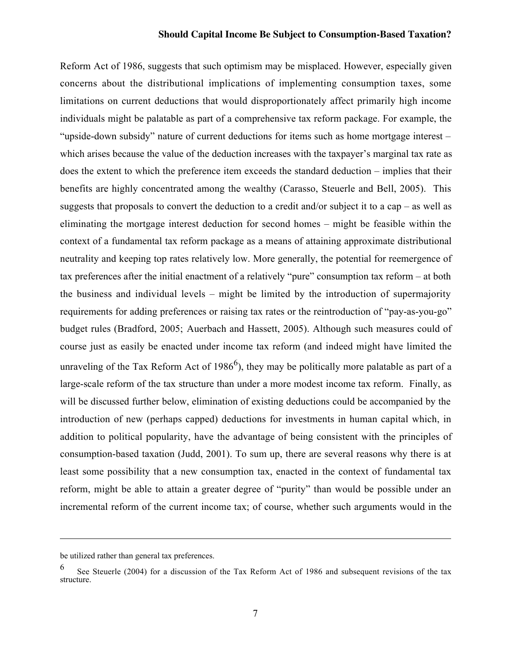Reform Act of 1986, suggests that such optimism may be misplaced. However, especially given concerns about the distributional implications of implementing consumption taxes, some limitations on current deductions that would disproportionately affect primarily high income individuals might be palatable as part of a comprehensive tax reform package. For example, the "upside-down subsidy" nature of current deductions for items such as home mortgage interest – which arises because the value of the deduction increases with the taxpayer's marginal tax rate as does the extent to which the preference item exceeds the standard deduction – implies that their benefits are highly concentrated among the wealthy (Carasso, Steuerle and Bell, 2005). This suggests that proposals to convert the deduction to a credit and/or subject it to a cap – as well as eliminating the mortgage interest deduction for second homes – might be feasible within the context of a fundamental tax reform package as a means of attaining approximate distributional neutrality and keeping top rates relatively low. More generally, the potential for reemergence of tax preferences after the initial enactment of a relatively "pure" consumption tax reform – at both the business and individual levels – might be limited by the introduction of supermajority requirements for adding preferences or raising tax rates or the reintroduction of "pay-as-you-go" budget rules (Bradford, 2005; Auerbach and Hassett, 2005). Although such measures could of course just as easily be enacted under income tax reform (and indeed might have limited the unraveling of the Tax Reform Act of  $1986<sup>6</sup>$ , they may be politically more palatable as part of a large-scale reform of the tax structure than under a more modest income tax reform. Finally, as will be discussed further below, elimination of existing deductions could be accompanied by the introduction of new (perhaps capped) deductions for investments in human capital which, in addition to political popularity, have the advantage of being consistent with the principles of consumption-based taxation (Judd, 2001). To sum up, there are several reasons why there is at least some possibility that a new consumption tax, enacted in the context of fundamental tax reform, might be able to attain a greater degree of "purity" than would be possible under an incremental reform of the current income tax; of course, whether such arguments would in the

be utilized rather than general tax preferences.

<sup>6</sup> See Steuerle (2004) for a discussion of the Tax Reform Act of 1986 and subsequent revisions of the tax structure.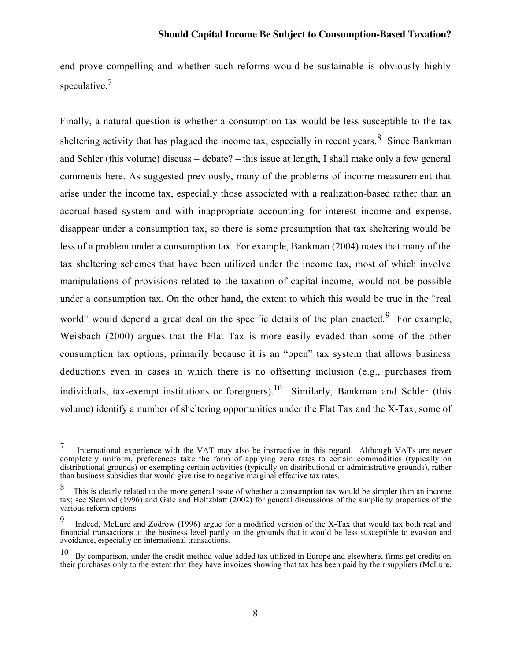end prove compelling and whether such reforms would be sustainable is obviously highly speculative.<sup>7</sup>

Finally, a natural question is whether a consumption tax would be less susceptible to the tax sheltering activity that has plagued the income tax, especially in recent years.  $8$  Since Bankman and Schler (this volume) discuss – debate? – this issue at length, I shall make only a few general comments here. As suggested previously, many of the problems of income measurement that arise under the income tax, especially those associated with a realization-based rather than an accrual-based system and with inappropriate accounting for interest income and expense, disappear under a consumption tax, so there is some presumption that tax sheltering would be less of a problem under a consumption tax. For example, Bankman (2004) notes that many of the tax sheltering schemes that have been utilized under the income tax, most of which involve manipulations of provisions related to the taxation of capital income, would not be possible under a consumption tax. On the other hand, the extent to which this would be true in the "real world" would depend a great deal on the specific details of the plan enacted.<sup>9</sup> For example, Weisbach (2000) argues that the Flat Tax is more easily evaded than some of the other consumption tax options, primarily because it is an "open" tax system that allows business deductions even in cases in which there is no offsetting inclusion (e.g., purchases from individuals, tax-exempt institutions or foreigners).<sup>10</sup> Similarly, Bankman and Schler (this volume) identify a number of sheltering opportunities under the Flat Tax and the X-Tax, some of

 $7$  International experience with the VAT may also be instructive in this regard. Although VATs are never completely uniform, preferences take the form of applying zero rates to certain commodities (typically on distributional grounds) or exempting certain activities (typically on distributional or administrative grounds), rather than business subsidies that would give rise to negative marginal effective tax rates.

This is clearly related to the more general issue of whether a consumption tax would be simpler than an income tax; see Slemrod (1996) and Gale and Holtzblatt (2002) for general discussions of the simplicity properties of the various reform options.

Indeed, McLure and Zodrow (1996) argue for a modified version of the X-Tax that would tax both real and financial transactions at the business level partly on the grounds that it would be less susceptible to evasion and avoidance, especially on international transactions.

<sup>&</sup>lt;sup>10</sup> By comparison, under the credit-method value-added tax utilized in Europe and elsewhere, firms get credits on their purchases only to the extent that they have invoices showing that tax has been paid by their suppliers (McLure,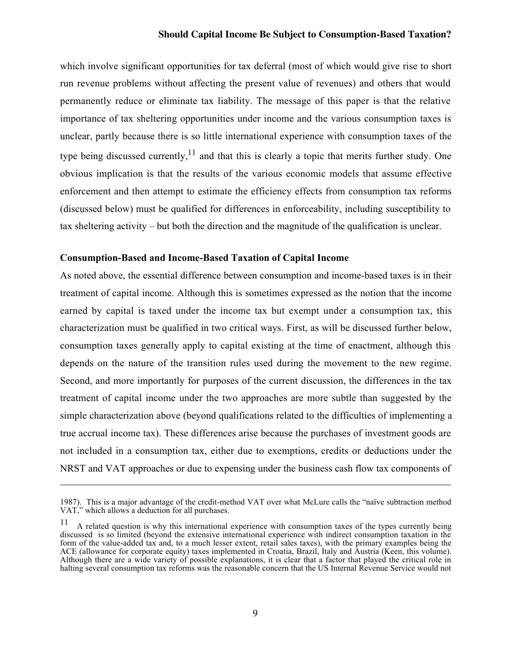which involve significant opportunities for tax deferral (most of which would give rise to short run revenue problems without affecting the present value of revenues) and others that would permanently reduce or eliminate tax liability. The message of this paper is that the relative importance of tax sheltering opportunities under income and the various consumption taxes is unclear, partly because there is so little international experience with consumption taxes of the type being discussed currently,  $11$  and that this is clearly a topic that merits further study. One obvious implication is that the results of the various economic models that assume effective enforcement and then attempt to estimate the efficiency effects from consumption tax reforms (discussed below) must be qualified for differences in enforceability, including susceptibility to tax sheltering activity – but both the direction and the magnitude of the qualification is unclear.

## Consumption-Based and Income-Based Taxation of Capital Income

 $\overline{a}$ 

As noted above, the essential difference between consumption and income-based taxes is in their treatment of capital income. Although this is sometimes expressed as the notion that the income earned by capital is taxed under the income tax but exempt under a consumption tax, this characterization must be qualified in two critical ways. First, as will be discussed further below, consumption taxes generally apply to capital existing at the time of enactment, although this depends on the nature of the transition rules used during the movement to the new regime. Second, and more importantly for purposes of the current discussion, the differences in the tax treatment of capital income under the two approaches are more subtle than suggested by the simple characterization above (beyond qualifications related to the difficulties of implementing a true accrual income tax). These differences arise because the purchases of investment goods are not included in a consumption tax, either due to exemptions, credits or deductions under the NRST and VAT approaches or due to expensing under the business cash flow tax components of

<sup>1987).</sup> This is a major advantage of the credit-method VAT over what McLure calls the "naïve subtraction method VAT," which allows a deduction for all purchases.

<sup>11</sup> A related question is why this international experience with consumption taxes of the types currently being discussed is so limited (beyond the extensive international experience with indirect consumption taxation in the form of the value-added tax and, to a much lesser extent, retail sales taxes), with the primary examples being the ACE (allowance for corporate equity) taxes implemented in Croatia, Brazil, Italy and Austria (Keen, this volume). Although there are a wide variety of possible explanations, it is clear that a factor that played the critical role in halting several consumption tax reforms was the reasonable concern that the US Internal Revenue Service would not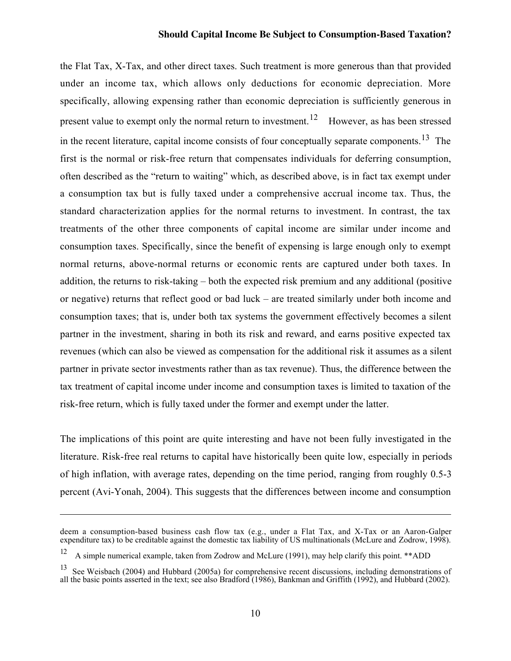the Flat Tax, X-Tax, and other direct taxes. Such treatment is more generous than that provided under an income tax, which allows only deductions for economic depreciation. More specifically, allowing expensing rather than economic depreciation is sufficiently generous in present value to exempt only the normal return to investment.<sup>12</sup> However, as has been stressed in the recent literature, capital income consists of four conceptually separate components.<sup>13</sup> The first is the normal or risk-free return that compensates individuals for deferring consumption, often described as the "return to waiting" which, as described above, is in fact tax exempt under a consumption tax but is fully taxed under a comprehensive accrual income tax. Thus, the standard characterization applies for the normal returns to investment. In contrast, the tax treatments of the other three components of capital income are similar under income and consumption taxes. Specifically, since the benefit of expensing is large enough only to exempt normal returns, above-normal returns or economic rents are captured under both taxes. In addition, the returns to risk-taking – both the expected risk premium and any additional (positive or negative) returns that reflect good or bad luck – are treated similarly under both income and consumption taxes; that is, under both tax systems the government effectively becomes a silent partner in the investment, sharing in both its risk and reward, and earns positive expected tax revenues (which can also be viewed as compensation for the additional risk it assumes as a silent partner in private sector investments rather than as tax revenue). Thus, the difference between the tax treatment of capital income under income and consumption taxes is limited to taxation of the risk-free return, which is fully taxed under the former and exempt under the latter.

The implications of this point are quite interesting and have not been fully investigated in the literature. Risk-free real returns to capital have historically been quite low, especially in periods of high inflation, with average rates, depending on the time period, ranging from roughly 0.5-3 percent (Avi-Yonah, 2004). This suggests that the differences between income and consumption

 $\overline{\phantom{0}}$ 

deem a consumption-based business cash flow tax (e.g., under a Flat Tax, and X-Tax or an Aaron-Galper expenditure tax) to be creditable against the domestic tax liability of US multinationals (McLure and Zodrow, 1998).

<sup>12</sup> A simple numerical example, taken from Zodrow and McLure (1991), may help clarify this point. \*\*ADD

<sup>13</sup> See Weisbach (2004) and Hubbard (2005a) for comprehensive recent discussions, including demonstrations of all the basic points asserted in the text; see also Bradford (1986), Bankman and Griffith (1992), and Hubbard (2002).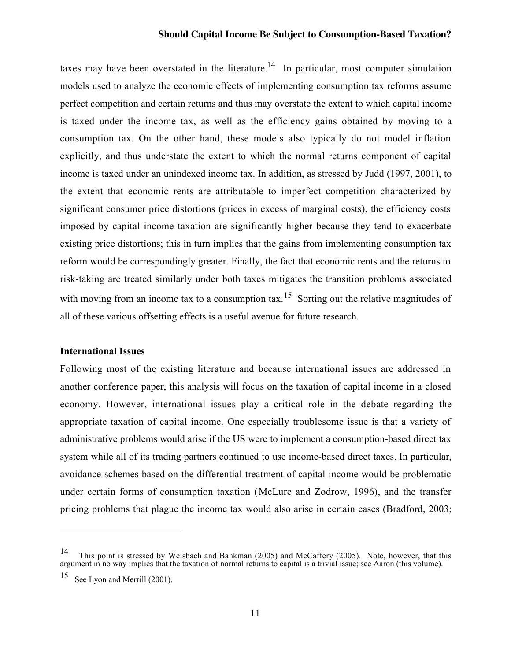taxes may have been overstated in the literature.<sup>14</sup> In particular, most computer simulation models used to analyze the economic effects of implementing consumption tax reforms assume perfect competition and certain returns and thus may overstate the extent to which capital income is taxed under the income tax, as well as the efficiency gains obtained by moving to a consumption tax. On the other hand, these models also typically do not model inflation explicitly, and thus understate the extent to which the normal returns component of capital income is taxed under an unindexed income tax. In addition, as stressed by Judd (1997, 2001), to the extent that economic rents are attributable to imperfect competition characterized by significant consumer price distortions (prices in excess of marginal costs), the efficiency costs imposed by capital income taxation are significantly higher because they tend to exacerbate existing price distortions; this in turn implies that the gains from implementing consumption tax reform would be correspondingly greater. Finally, the fact that economic rents and the returns to risk-taking are treated similarly under both taxes mitigates the transition problems associated with moving from an income tax to a consumption tax.<sup>15</sup> Sorting out the relative magnitudes of all of these various offsetting effects is a useful avenue for future research.

#### International Issues

Following most of the existing literature and because international issues are addressed in another conference paper, this analysis will focus on the taxation of capital income in a closed economy. However, international issues play a critical role in the debate regarding the appropriate taxation of capital income. One especially troublesome issue is that a variety of administrative problems would arise if the US were to implement a consumption-based direct tax system while all of its trading partners continued to use income-based direct taxes. In particular, avoidance schemes based on the differential treatment of capital income would be problematic under certain forms of consumption taxation (McLure and Zodrow, 1996), and the transfer pricing problems that plague the income tax would also arise in certain cases (Bradford, 2003;

<sup>14</sup> This point is stressed by Weisbach and Bankman (2005) and McCaffery (2005). Note, however, that this argument in no way implies that the taxation of normal returns to capital is a trivial issue; see Aaron (this volume).

<sup>&</sup>lt;sup>15</sup> See Lyon and Merrill (2001).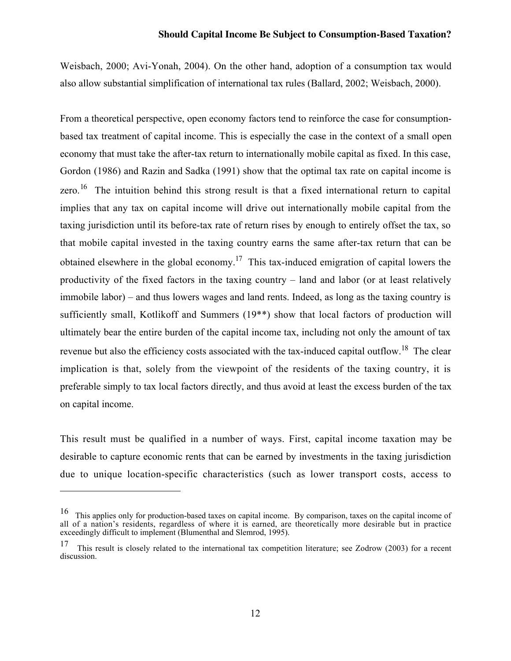Weisbach, 2000; Avi-Yonah, 2004). On the other hand, adoption of a consumption tax would also allow substantial simplification of international tax rules (Ballard, 2002; Weisbach, 2000).

From a theoretical perspective, open economy factors tend to reinforce the case for consumptionbased tax treatment of capital income. This is especially the case in the context of a small open economy that must take the after-tax return to internationally mobile capital as fixed. In this case, Gordon (1986) and Razin and Sadka (1991) show that the optimal tax rate on capital income is zero.<sup>16</sup> The intuition behind this strong result is that a fixed international return to capital implies that any tax on capital income will drive out internationally mobile capital from the taxing jurisdiction until its before-tax rate of return rises by enough to entirely offset the tax, so that mobile capital invested in the taxing country earns the same after-tax return that can be obtained elsewhere in the global economy.<sup>17</sup> This tax-induced emigration of capital lowers the productivity of the fixed factors in the taxing country – land and labor (or at least relatively immobile labor) – and thus lowers wages and land rents. Indeed, as long as the taxing country is sufficiently small, Kotlikoff and Summers (19\*\*) show that local factors of production will ultimately bear the entire burden of the capital income tax, including not only the amount of tax revenue but also the efficiency costs associated with the tax-induced capital outflow.<sup>18</sup> The clear implication is that, solely from the viewpoint of the residents of the taxing country, it is preferable simply to tax local factors directly, and thus avoid at least the excess burden of the tax on capital income.

This result must be qualified in a number of ways. First, capital income taxation may be desirable to capture economic rents that can be earned by investments in the taxing jurisdiction due to unique location-specific characteristics (such as lower transport costs, access to

<sup>&</sup>lt;sup>16</sup> This applies only for production-based taxes on capital income. By comparison, taxes on the capital income of all of a nation's residents, regardless of where it is earned, are theoretically more desirable but in practice exceedingly difficult to implement (Blumenthal and Slemrod, 1995).

<sup>&</sup>lt;sup>17</sup> This result is closely related to the international tax competition literature; see Zodrow (2003) for a recent discussion.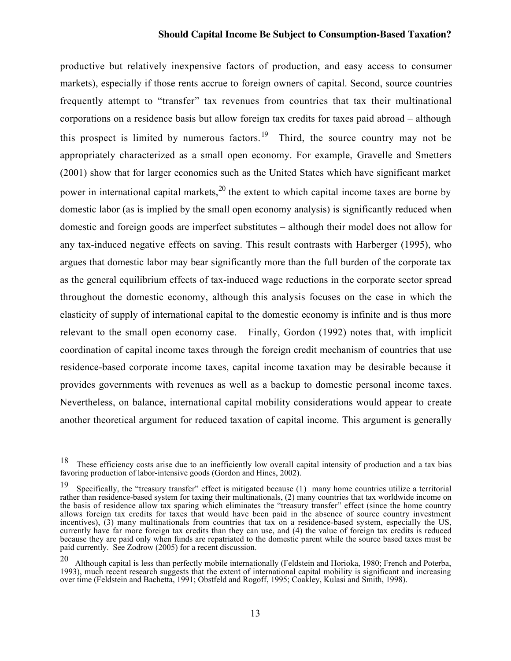productive but relatively inexpensive factors of production, and easy access to consumer markets), especially if those rents accrue to foreign owners of capital. Second, source countries frequently attempt to "transfer" tax revenues from countries that tax their multinational corporations on a residence basis but allow foreign tax credits for taxes paid abroad – although this prospect is limited by numerous factors.<sup>19</sup> Third, the source country may not be appropriately characterized as a small open economy. For example, Gravelle and Smetters (2001) show that for larger economies such as the United States which have significant market power in international capital markets,  $20$  the extent to which capital income taxes are borne by domestic labor (as is implied by the small open economy analysis) is significantly reduced when domestic and foreign goods are imperfect substitutes – although their model does not allow for any tax-induced negative effects on saving. This result contrasts with Harberger (1995), who argues that domestic labor may bear significantly more than the full burden of the corporate tax as the general equilibrium effects of tax-induced wage reductions in the corporate sector spread throughout the domestic economy, although this analysis focuses on the case in which the elasticity of supply of international capital to the domestic economy is infinite and is thus more relevant to the small open economy case. Finally, Gordon (1992) notes that, with implicit coordination of capital income taxes through the foreign credit mechanism of countries that use residence-based corporate income taxes, capital income taxation may be desirable because it provides governments with revenues as well as a backup to domestic personal income taxes. Nevertheless, on balance, international capital mobility considerations would appear to create another theoretical argument for reduced taxation of capital income. This argument is generally

<sup>&</sup>lt;sup>18</sup> These efficiency costs arise due to an inefficiently low overall capital intensity of production and a tax bias favoring production of labor-intensive goods (Gordon and Hines, 2002).

<sup>19</sup> Specifically, the "treasury transfer" effect is mitigated because (1) many home countries utilize a territorial rather than residence-based system for taxing their multinationals, (2) many countries that tax worldwide income on the basis of residence allow tax sparing which eliminates the "treasury transfer" effect (since the home country allows foreign tax credits for taxes that would have been paid in the absence of source country investment incentives),  $\tilde{B}$ ) many multinationals from countries that tax on a residence-based system, especially the US, currently have far more foreign tax credits than they can use, and (4) the value of foreign tax credits is reduced because they are paid only when funds are repatriated to the domestic parent while the source based taxes must be paid currently. See Zodrow (2005) for a recent discussion.

<sup>20</sup> Although capital is less than perfectly mobile internationally (Feldstein and Horioka, 1980; French and Poterba, 1993), much recent research suggests that the extent of international capital mobility is significant and increasing over time (Feldstein and Bachetta, 1991; Obstfeld and Rogoff, 1995; Coakley, Kulasi and Smith, 1998).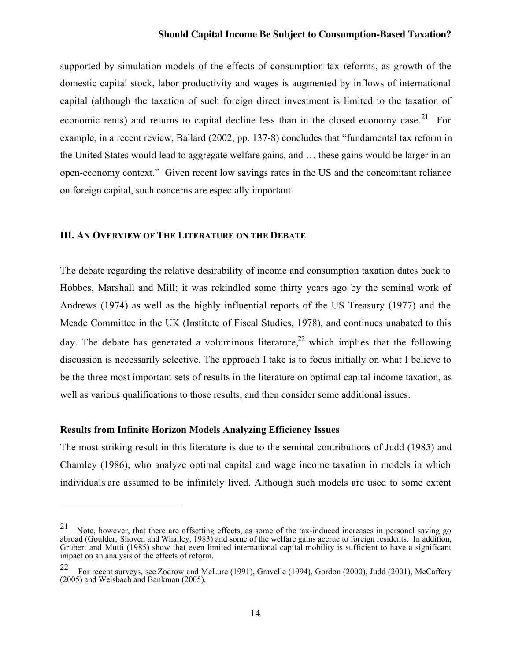supported by simulation models of the effects of consumption tax reforms, as growth of the domestic capital stock, labor productivity and wages is augmented by inflows of international capital (although the taxation of such foreign direct investment is limited to the taxation of economic rents) and returns to capital decline less than in the closed economy case.<sup>21</sup> For example, in a recent review, Ballard (2002, pp. 137-8) concludes that "fundamental tax reform in the United States would lead to aggregate welfare gains, and … these gains would be larger in an open-economy context." Given recent low savings rates in the US and the concomitant reliance on foreign capital, such concerns are especially important.

#### III. AN OVERVIEW OF THE LITERATURE ON THE DEBATE

The debate regarding the relative desirability of income and consumption taxation dates back to Hobbes, Marshall and Mill; it was rekindled some thirty years ago by the seminal work of Andrews (1974) as well as the highly influential reports of the US Treasury (1977) and the Meade Committee in the UK (Institute of Fiscal Studies, 1978), and continues unabated to this day. The debate has generated a voluminous literature.<sup>22</sup> which implies that the following discussion is necessarily selective. The approach I take is to focus initially on what I believe to be the three most important sets of results in the literature on optimal capital income taxation, as well as various qualifications to those results, and then consider some additional issues.

#### Results from Infinite Horizon Models Analyzing Efficiency Issues

 $\overline{a}$ 

The most striking result in this literature is due to the seminal contributions of Judd (1985) and Chamley (1986), who analyze optimal capital and wage income taxation in models in which individuals are assumed to be infinitely lived. Although such models are used to some extent

 $21$  Note, however, that there are offsetting effects, as some of the tax-induced increases in personal saving go abroad (Goulder, Shoven and Whalley, 1983) and some of the welfare gains accrue to foreign residents. In addition, Grubert and Mutti (1985) show that even limited international capital mobility is sufficient to have a significant impact on an analysis of the effects of reform.

<sup>22</sup> For recent surveys, see Zodrow and McLure (1991), Gravelle (1994), Gordon (2000), Judd (2001), McCaffery (2005) and Weisbach and Bankman (2005).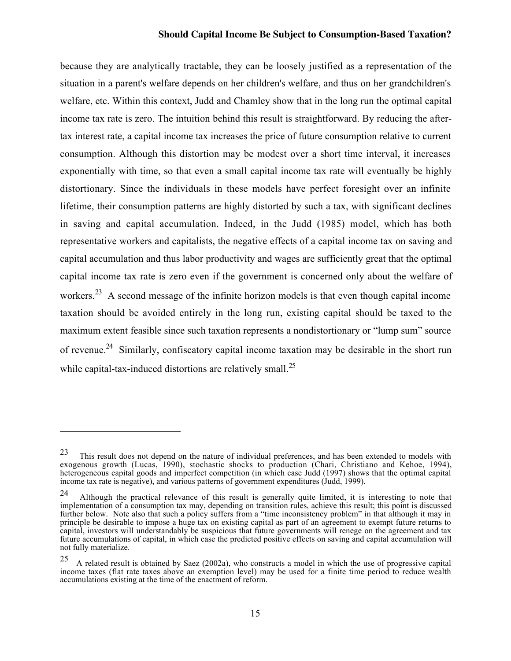because they are analytically tractable, they can be loosely justified as a representation of the situation in a parent's welfare depends on her children's welfare, and thus on her grandchildren's welfare, etc. Within this context, Judd and Chamley show that in the long run the optimal capital income tax rate is zero. The intuition behind this result is straightforward. By reducing the aftertax interest rate, a capital income tax increases the price of future consumption relative to current consumption. Although this distortion may be modest over a short time interval, it increases exponentially with time, so that even a small capital income tax rate will eventually be highly distortionary. Since the individuals in these models have perfect foresight over an infinite lifetime, their consumption patterns are highly distorted by such a tax, with significant declines in saving and capital accumulation. Indeed, in the Judd (1985) model, which has both representative workers and capitalists, the negative effects of a capital income tax on saving and capital accumulation and thus labor productivity and wages are sufficiently great that the optimal capital income tax rate is zero even if the government is concerned only about the welfare of workers.<sup>23</sup> A second message of the infinite horizon models is that even though capital income taxation should be avoided entirely in the long run, existing capital should be taxed to the maximum extent feasible since such taxation represents a nondistortionary or "lump sum" source of revenue.<sup>24</sup> Similarly, confiscatory capital income taxation may be desirable in the short run while capital-tax-induced distortions are relatively small.<sup>25</sup>

 $\overline{\phantom{0}}$ 

<sup>&</sup>lt;sup>23</sup> This result does not depend on the nature of individual preferences, and has been extended to models with exogenous growth (Lucas, 1990), stochastic shocks to production (Chari, Christiano and Kehoe, 1994), heterogeneous capital goods and imperfect competition (in which case Judd (1997) shows that the optimal capital income tax rate is negative), and various patterns of government expenditures (Judd, 1999).

<sup>24</sup> Although the practical relevance of this result is generally quite limited, it is interesting to note that implementation of a consumption tax may, depending on transition rules, achieve this result; this point is discussed further below. Note also that such a policy suffers from a "time inconsistency problem" in that although it may in principle be desirable to impose a huge tax on existing capital as part of an agreement to exempt future returns to capital, investors will understandably be suspicious that future governments will renege on the agreement and tax future accumulations of capital, in which case the predicted positive effects on saving and capital accumulation will not fully materialize.

A related result is obtained by Saez (2002a), who constructs a model in which the use of progressive capital income taxes (flat rate taxes above an exemption level) may be used for a finite time period to reduce wealth accumulations existing at the time of the enactment of reform.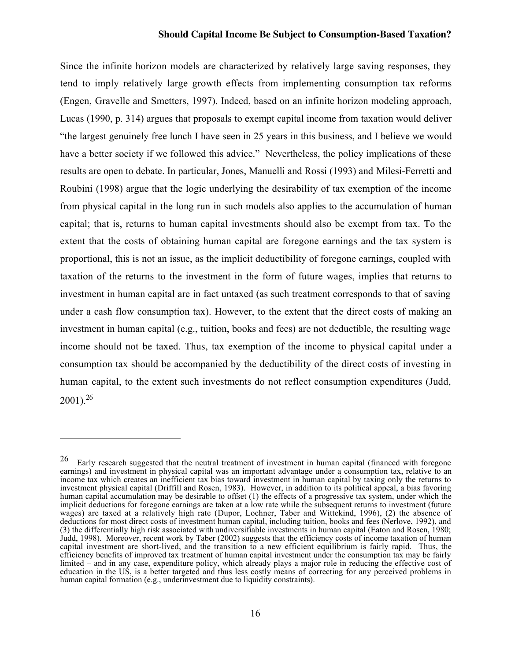Since the infinite horizon models are characterized by relatively large saving responses, they tend to imply relatively large growth effects from implementing consumption tax reforms (Engen, Gravelle and Smetters, 1997). Indeed, based on an infinite horizon modeling approach, Lucas (1990, p. 314) argues that proposals to exempt capital income from taxation would deliver "the largest genuinely free lunch I have seen in 25 years in this business, and I believe we would have a better society if we followed this advice." Nevertheless, the policy implications of these results are open to debate. In particular, Jones, Manuelli and Rossi (1993) and Milesi-Ferretti and Roubini (1998) argue that the logic underlying the desirability of tax exemption of the income from physical capital in the long run in such models also applies to the accumulation of human capital; that is, returns to human capital investments should also be exempt from tax. To the extent that the costs of obtaining human capital are foregone earnings and the tax system is proportional, this is not an issue, as the implicit deductibility of foregone earnings, coupled with taxation of the returns to the investment in the form of future wages, implies that returns to investment in human capital are in fact untaxed (as such treatment corresponds to that of saving under a cash flow consumption tax). However, to the extent that the direct costs of making an investment in human capital (e.g., tuition, books and fees) are not deductible, the resulting wage income should not be taxed. Thus, tax exemption of the income to physical capital under a consumption tax should be accompanied by the deductibility of the direct costs of investing in human capital, to the extent such investments do not reflect consumption expenditures (Judd,  $2001$ )<sup>26</sup>

<sup>&</sup>lt;sup>26</sup> Early research suggested that the neutral treatment of investment in human capital (financed with foregone earnings) and investment in physical capital was an important advantage under a consumption tax, relative to an income tax which creates an inefficient tax bias toward investment in human capital by taxing only the returns to investment physical capital (Driffill and Rosen, 1983). However, in addition to its political appeal, a bias favoring human capital accumulation may be desirable to offset (1) the effects of a progressive tax system, under which the implicit deductions for foregone earnings are taken at a low rate while the subsequent returns to investment (future wages) are taxed at a relatively high rate (Dupor, Lochner, Taber and Wittekind, 1996), (2) the absence of deductions for most direct costs of investment human capital, including tuition, books and fees (Nerlove, 1992), and (3) the differentially high risk associated with undiversifiable investments in human capital (Eaton and Rosen, 1980; Judd, 1998). Moreover, recent work by Taber (2002) suggests that the efficiency costs of income taxation of human capital investment are short-lived, and the transition to a new efficient equilibrium is fairly rapid. Thus, the efficiency benefits of improved tax treatment of human capital investment under the consumption tax may be fairly limited – and in any case, expenditure policy, which already plays a major role in reducing the effective cost of education in the US, is a better targeted and thus less costly means of correcting for any perceived problems in human capital formation (e.g., underinvestment due to liquidity constraints).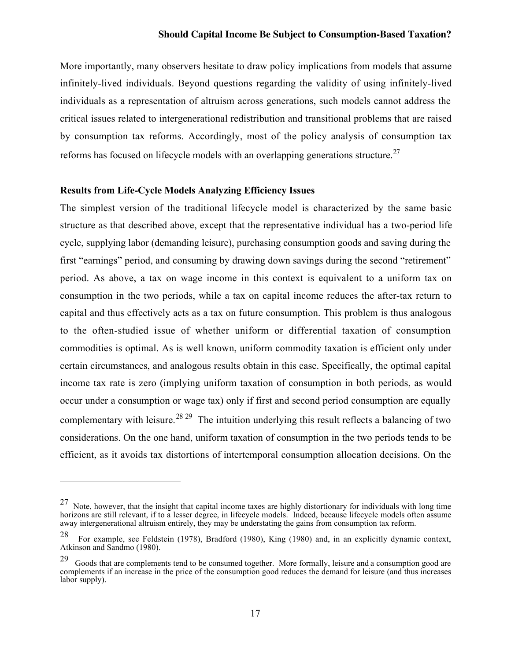More importantly, many observers hesitate to draw policy implications from models that assume infinitely-lived individuals. Beyond questions regarding the validity of using infinitely-lived individuals as a representation of altruism across generations, such models cannot address the critical issues related to intergenerational redistribution and transitional problems that are raised by consumption tax reforms. Accordingly, most of the policy analysis of consumption tax reforms has focused on lifecycle models with an overlapping generations structure.<sup>27</sup>

#### Results from Life-Cycle Models Analyzing Efficiency Issues

 $\overline{\phantom{0}}$ 

The simplest version of the traditional lifecycle model is characterized by the same basic structure as that described above, except that the representative individual has a two-period life cycle, supplying labor (demanding leisure), purchasing consumption goods and saving during the first "earnings" period, and consuming by drawing down savings during the second "retirement" period. As above, a tax on wage income in this context is equivalent to a uniform tax on consumption in the two periods, while a tax on capital income reduces the after-tax return to capital and thus effectively acts as a tax on future consumption. This problem is thus analogous to the often-studied issue of whether uniform or differential taxation of consumption commodities is optimal. As is well known, uniform commodity taxation is efficient only under certain circumstances, and analogous results obtain in this case. Specifically, the optimal capital income tax rate is zero (implying uniform taxation of consumption in both periods, as would occur under a consumption or wage tax) only if first and second period consumption are equally complementary with leisure.<sup>28 29</sup> The intuition underlying this result reflects a balancing of two considerations. On the one hand, uniform taxation of consumption in the two periods tends to be efficient, as it avoids tax distortions of intertemporal consumption allocation decisions. On the

<sup>27</sup> Note, however, that the insight that capital income taxes are highly distortionary for individuals with long time horizons are still relevant, if to a lesser degree, in lifecycle models. Indeed, because lifecycle models often assume away intergenerational altruism entirely, they may be understating the gains from consumption tax reform.

<sup>28</sup> For example, see Feldstein (1978), Bradford (1980), King (1980) and, in an explicitly dynamic context, Atkinson and Sandmo (1980).

Goods that are complements tend to be consumed together. More formally, leisure and a consumption good are complements if an increase in the price of the consumption good reduces the demand for leisure (and thus increases labor supply).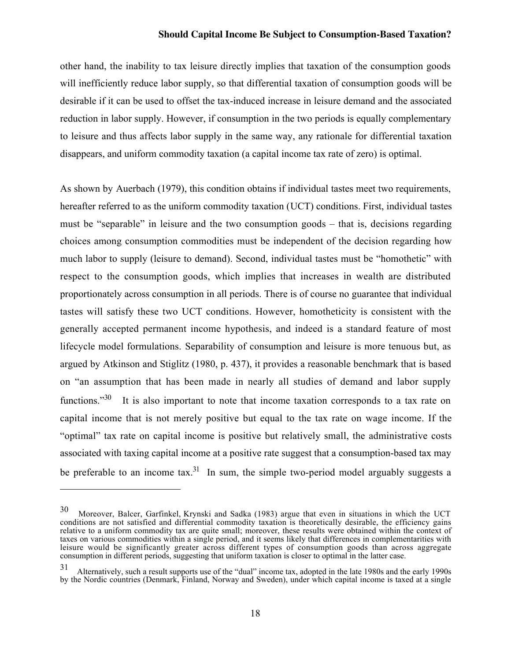other hand, the inability to tax leisure directly implies that taxation of the consumption goods will inefficiently reduce labor supply, so that differential taxation of consumption goods will be desirable if it can be used to offset the tax-induced increase in leisure demand and the associated reduction in labor supply. However, if consumption in the two periods is equally complementary to leisure and thus affects labor supply in the same way, any rationale for differential taxation disappears, and uniform commodity taxation (a capital income tax rate of zero) is optimal.

As shown by Auerbach (1979), this condition obtains if individual tastes meet two requirements, hereafter referred to as the uniform commodity taxation (UCT) conditions. First, individual tastes must be "separable" in leisure and the two consumption goods – that is, decisions regarding choices among consumption commodities must be independent of the decision regarding how much labor to supply (leisure to demand). Second, individual tastes must be "homothetic" with respect to the consumption goods, which implies that increases in wealth are distributed proportionately across consumption in all periods. There is of course no guarantee that individual tastes will satisfy these two UCT conditions. However, homotheticity is consistent with the generally accepted permanent income hypothesis, and indeed is a standard feature of most lifecycle model formulations. Separability of consumption and leisure is more tenuous but, as argued by Atkinson and Stiglitz (1980, p. 437), it provides a reasonable benchmark that is based on "an assumption that has been made in nearly all studies of demand and labor supply functions."<sup>30</sup> It is also important to note that income taxation corresponds to a tax rate on capital income that is not merely positive but equal to the tax rate on wage income. If the "optimal" tax rate on capital income is positive but relatively small, the administrative costs associated with taxing capital income at a positive rate suggest that a consumption-based tax may be preferable to an income tax.<sup>31</sup> In sum, the simple two-period model arguably suggests a

 $\overline{\phantom{0}}$ 

<sup>30</sup> Moreover, Balcer, Garfinkel, Krynski and Sadka (1983) argue that even in situations in which the UCT conditions are not satisfied and differential commodity taxation is theoretically desirable, the efficiency gains relative to a uniform commodity tax are quite small; moreover, these results were obtained within the context of taxes on various commodities within a single period, and it seems likely that differences in complementarities with leisure would be significantly greater across different types of consumption goods than across aggregate consumption in different periods, suggesting that uniform taxation is closer to optimal in the latter case.

<sup>31</sup> Alternatively, such a result supports use of the "dual" income tax, adopted in the late 1980s and the early 1990s by the Nordic countries (Denmark, Finland, Norway and Sweden), under which capital income is taxed at a single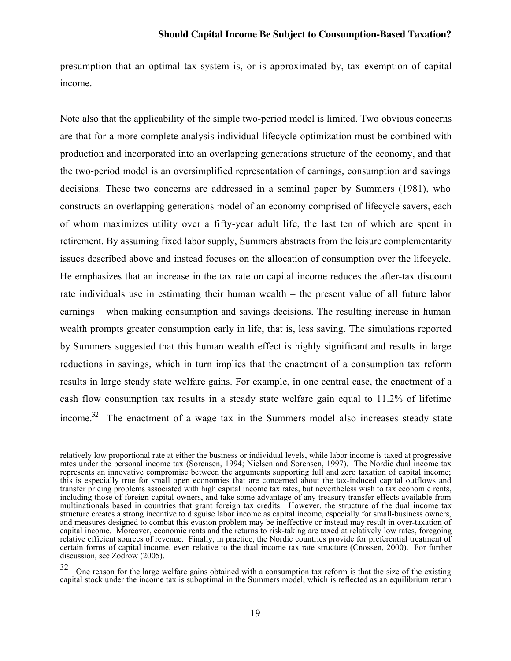presumption that an optimal tax system is, or is approximated by, tax exemption of capital income.

Note also that the applicability of the simple two-period model is limited. Two obvious concerns are that for a more complete analysis individual lifecycle optimization must be combined with production and incorporated into an overlapping generations structure of the economy, and that the two-period model is an oversimplified representation of earnings, consumption and savings decisions. These two concerns are addressed in a seminal paper by Summers (1981), who constructs an overlapping generations model of an economy comprised of lifecycle savers, each of whom maximizes utility over a fifty-year adult life, the last ten of which are spent in retirement. By assuming fixed labor supply, Summers abstracts from the leisure complementarity issues described above and instead focuses on the allocation of consumption over the lifecycle. He emphasizes that an increase in the tax rate on capital income reduces the after-tax discount rate individuals use in estimating their human wealth – the present value of all future labor earnings – when making consumption and savings decisions. The resulting increase in human wealth prompts greater consumption early in life, that is, less saving. The simulations reported by Summers suggested that this human wealth effect is highly significant and results in large reductions in savings, which in turn implies that the enactment of a consumption tax reform results in large steady state welfare gains. For example, in one central case, the enactment of a cash flow consumption tax results in a steady state welfare gain equal to 11.2% of lifetime income.<sup>32</sup> The enactment of a wage tax in the Summers model also increases steady state

relatively low proportional rate at either the business or individual levels, while labor income is taxed at progressive rates under the personal income tax (Sorensen, 1994; Nielsen and Sorensen, 1997). The Nordic dual income tax represents an innovative compromise between the arguments supporting full and zero taxation of capital income; this is especially true for small open economies that are concerned about the tax-induced capital outflows and transfer pricing problems associated with high capital income tax rates, but nevertheless wish to tax economic rents, including those of foreign capital owners, and take some advantage of any treasury transfer effects available from multinationals based in countries that grant foreign tax credits. However, the structure of the dual income tax structure creates a strong incentive to disguise labor income as capital income, especially for small-business owners, and measures designed to combat this evasion problem may be ineffective or instead may result in over-taxation of capital income. Moreover, economic rents and the returns to risk-taking are taxed at relatively low rates, foregoing relative efficient sources of revenue. Finally, in practice, the Nordic countries provide for preferential treatment of certain forms of capital income, even relative to the dual income tax rate structure (Cnossen, 2000). For further discussion, see Zodrow (2005).

 $32$  One reason for the large welfare gains obtained with a consumption tax reform is that the size of the existing capital stock under the income tax is suboptimal in the Summers model, which is reflected as an equilibrium return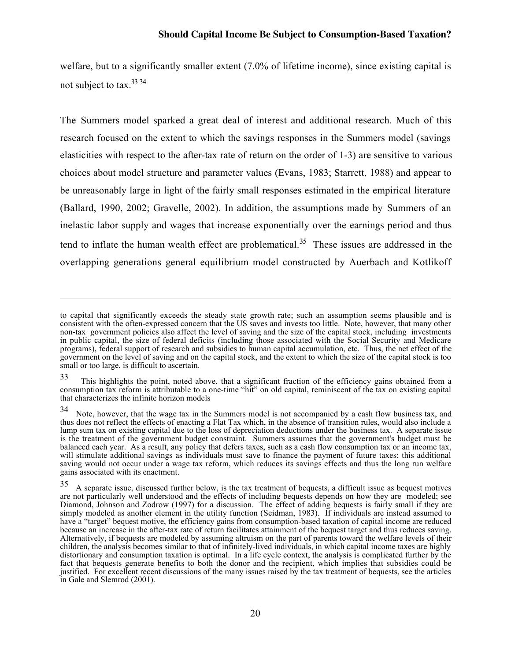welfare, but to a significantly smaller extent (7.0% of lifetime income), since existing capital is not subject to tax <sup>33 34</sup>

The Summers model sparked a great deal of interest and additional research. Much of this research focused on the extent to which the savings responses in the Summers model (savings elasticities with respect to the after-tax rate of return on the order of 1-3) are sensitive to various choices about model structure and parameter values (Evans, 1983; Starrett, 1988) and appear to be unreasonably large in light of the fairly small responses estimated in the empirical literature (Ballard, 1990, 2002; Gravelle, 2002). In addition, the assumptions made by Summers of an inelastic labor supply and wages that increase exponentially over the earnings period and thus tend to inflate the human wealth effect are problematical.<sup>35</sup> These issues are addressed in the overlapping generations general equilibrium model constructed by Auerbach and Kotlikoff

to capital that significantly exceeds the steady state growth rate; such an assumption seems plausible and is consistent with the often-expressed concern that the US saves and invests too little. Note, however, that many other non-tax government policies also affect the level of saving and the size of the capital stock, including investments in public capital, the size of federal deficits (including those associated with the Social Security and Medicare programs), federal support of research and subsidies to human capital accumulation, etc. Thus, the net effect of the government on the level of saving and on the capital stock, and the extent to which the size of the capital stock is too small or too large, is difficult to ascertain.

<sup>33</sup> This highlights the point, noted above, that a significant fraction of the efficiency gains obtained from a consumption tax reform is attributable to a one-time "hit" on old capital, reminiscent of the tax on existing capital that characterizes the infinite horizon models

<sup>34</sup> Note, however, that the wage tax in the Summers model is not accompanied by a cash flow business tax, and thus does not reflect the effects of enacting a Flat Tax which, in the absence of transition rules, would also include a lump sum tax on existing capital due to the loss of depreciation deductions under the business tax. A separate issue is the treatment of the government budget constraint. Summers assumes that the government's budget must be balanced each year. As a result, any policy that defers taxes, such as a cash flow consumption tax or an income tax, will stimulate additional savings as individuals must save to finance the payment of future taxes; this additional saving would not occur under a wage tax reform, which reduces its savings effects and thus the long run welfare gains associated with its enactment.

<sup>35</sup> A separate issue, discussed further below, is the tax treatment of bequests, a difficult issue as bequest motives are not particularly well understood and the effects of including bequests depends on how they are modeled; see Diamond, Johnson and Zodrow (1997) for a discussion. The effect of adding bequests is fairly small if they are simply modeled as another element in the utility function (Seidman, 1983). If individuals are instead assumed to have a "target" bequest motive, the efficiency gains from consumption-based taxation of capital income are reduced because an increase in the after-tax rate of return facilitates attainment of the bequest target and thus reduces saving. Alternatively, if bequests are modeled by assuming altruism on the part of parents toward the welfare levels of their children, the analysis becomes similar to that of infinitely-lived individuals, in which capital income taxes are highly distortionary and consumption taxation is optimal. In a life cycle context, the analysis is complicated further by the fact that bequests generate benefits to both the donor and the recipient, which implies that subsidies could be justified. For excellent recent discussions of the many issues raised by the tax treatment of bequests, see the articles in Gale and Slemrod (2001).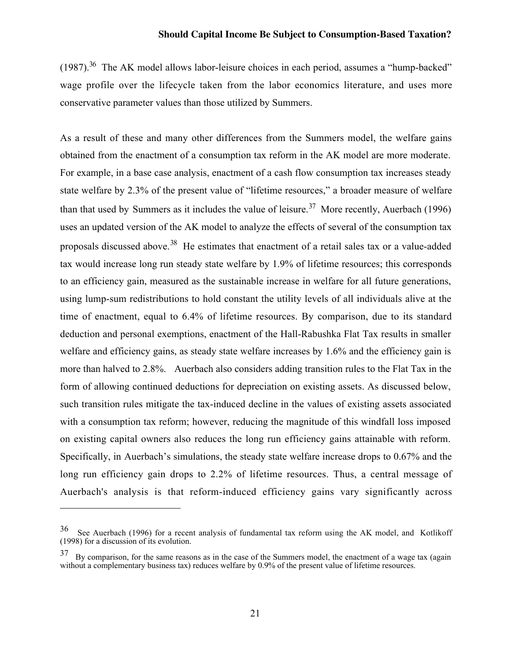$(1987).$ <sup>36</sup> The AK model allows labor-leisure choices in each period, assumes a "hump-backed" wage profile over the lifecycle taken from the labor economics literature, and uses more conservative parameter values than those utilized by Summers.

As a result of these and many other differences from the Summers model, the welfare gains obtained from the enactment of a consumption tax reform in the AK model are more moderate. For example, in a base case analysis, enactment of a cash flow consumption tax increases steady state welfare by 2.3% of the present value of "lifetime resources," a broader measure of welfare than that used by Summers as it includes the value of leisure.<sup>37</sup> More recently, Auerbach (1996) uses an updated version of the AK model to analyze the effects of several of the consumption tax proposals discussed above.<sup>38</sup> He estimates that enactment of a retail sales tax or a value-added tax would increase long run steady state welfare by 1.9% of lifetime resources; this corresponds to an efficiency gain, measured as the sustainable increase in welfare for all future generations, using lump-sum redistributions to hold constant the utility levels of all individuals alive at the time of enactment, equal to 6.4% of lifetime resources. By comparison, due to its standard deduction and personal exemptions, enactment of the Hall-Rabushka Flat Tax results in smaller welfare and efficiency gains, as steady state welfare increases by 1.6% and the efficiency gain is more than halved to 2.8%. Auerbach also considers adding transition rules to the Flat Tax in the form of allowing continued deductions for depreciation on existing assets. As discussed below, such transition rules mitigate the tax-induced decline in the values of existing assets associated with a consumption tax reform; however, reducing the magnitude of this windfall loss imposed on existing capital owners also reduces the long run efficiency gains attainable with reform. Specifically, in Auerbach's simulations, the steady state welfare increase drops to 0.67% and the long run efficiency gain drops to 2.2% of lifetime resources. Thus, a central message of Auerbach's analysis is that reform-induced efficiency gains vary significantly across

<sup>36</sup> See Auerbach (1996) for a recent analysis of fundamental tax reform using the AK model, and Kotlikoff (1998) for a discussion of its evolution.

 $37$  By comparison, for the same reasons as in the case of the Summers model, the enactment of a wage tax (again without a complementary business tax) reduces welfare by 0.9% of the present value of lifetime resources.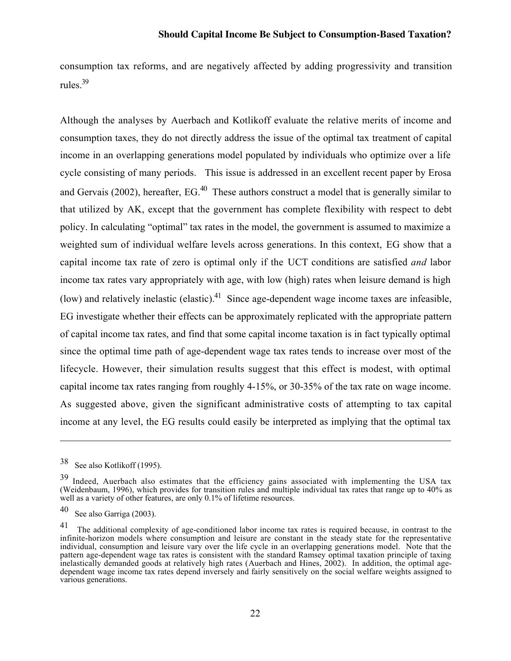consumption tax reforms, and are negatively affected by adding progressivity and transition rules.39

Although the analyses by Auerbach and Kotlikoff evaluate the relative merits of income and consumption taxes, they do not directly address the issue of the optimal tax treatment of capital income in an overlapping generations model populated by individuals who optimize over a life cycle consisting of many periods. This issue is addressed in an excellent recent paper by Erosa and Gervais (2002), hereafter, EG.<sup>40</sup> These authors construct a model that is generally similar to that utilized by AK, except that the government has complete flexibility with respect to debt policy. In calculating "optimal" tax rates in the model, the government is assumed to maximize a weighted sum of individual welfare levels across generations. In this context, EG show that a capital income tax rate of zero is optimal only if the UCT conditions are satisfied *and* labor income tax rates vary appropriately with age, with low (high) rates when leisure demand is high (low) and relatively inelastic (elastic).<sup>41</sup> Since age-dependent wage income taxes are infeasible, EG investigate whether their effects can be approximately replicated with the appropriate pattern of capital income tax rates, and find that some capital income taxation is in fact typically optimal since the optimal time path of age-dependent wage tax rates tends to increase over most of the lifecycle. However, their simulation results suggest that this effect is modest, with optimal capital income tax rates ranging from roughly 4-15%, or 30-35% of the tax rate on wage income. As suggested above, given the significant administrative costs of attempting to tax capital income at any level, the EG results could easily be interpreted as implying that the optimal tax

<sup>38</sup> See also Kotlikoff (1995).

<sup>&</sup>lt;sup>39</sup> Indeed, Auerbach also estimates that the efficiency gains associated with implementing the USA tax (Weidenbaum, 1996), which provides for transition rules and multiple individual tax rates that range up to 40% as well as a variety of other features, are only 0.1% of lifetime resources.

<sup>40</sup> See also Garriga (2003).

<sup>&</sup>lt;sup>41</sup> The additional complexity of age-conditioned labor income tax rates is required because, in contrast to the infinite-horizon models where consumption and leisure are constant in the steady state for the representative individual, consumption and leisure vary over the life cycle in an overlapping generations model. Note that the pattern age-dependent wage tax rates is consistent with the standard Ramsey optimal taxation principle of taxing inelastically demanded goods at relatively high rates (Auerbach and Hines, 2002). In addition, the optimal agedependent wage income tax rates depend inversely and fairly sensitively on the social welfare weights assigned to various generations.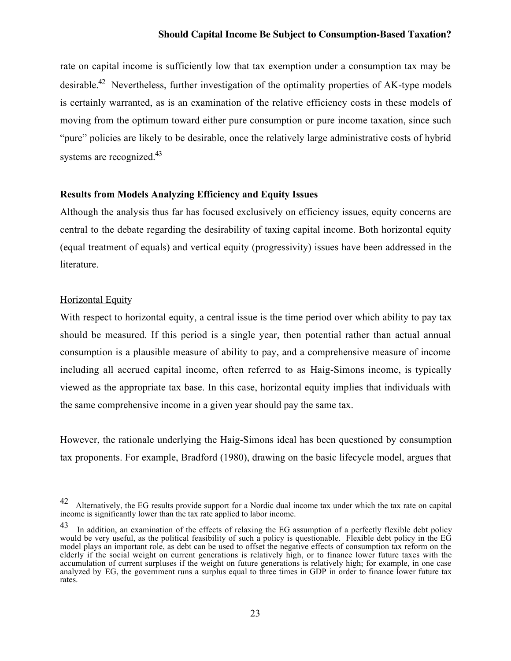rate on capital income is sufficiently low that tax exemption under a consumption tax may be desirable.<sup>42</sup> Nevertheless, further investigation of the optimality properties of AK-type models is certainly warranted, as is an examination of the relative efficiency costs in these models of moving from the optimum toward either pure consumption or pure income taxation, since such "pure" policies are likely to be desirable, once the relatively large administrative costs of hybrid systems are recognized.<sup>43</sup>

#### Results from Models Analyzing Efficiency and Equity Issues

Although the analysis thus far has focused exclusively on efficiency issues, equity concerns are central to the debate regarding the desirability of taxing capital income. Both horizontal equity (equal treatment of equals) and vertical equity (progressivity) issues have been addressed in the literature.

#### Horizontal Equity

 $\overline{a}$ 

With respect to horizontal equity, a central issue is the time period over which ability to pay tax should be measured. If this period is a single year, then potential rather than actual annual consumption is a plausible measure of ability to pay, and a comprehensive measure of income including all accrued capital income, often referred to as Haig-Simons income, is typically viewed as the appropriate tax base. In this case, horizontal equity implies that individuals with the same comprehensive income in a given year should pay the same tax.

However, the rationale underlying the Haig-Simons ideal has been questioned by consumption tax proponents. For example, Bradford (1980), drawing on the basic lifecycle model, argues that

<sup>42</sup> Alternatively, the EG results provide support for a Nordic dual income tax under which the tax rate on capital income is significantly lower than the tax rate applied to labor income.

 $43$  In addition, an examination of the effects of relaxing the EG assumption of a perfectly flexible debt policy would be very useful, as the political feasibility of such a policy is questionable. Flexible debt policy in the EG model plays an important role, as debt can be used to offset the negative effects of consumption tax reform on the elderly if the social weight on current generations is relatively high, or to finance lower future taxes with the accumulation of current surpluses if the weight on future generations is relatively high; for example, in one case analyzed by EG, the government runs a surplus equal to three times in GDP in order to finance lower future tax rates.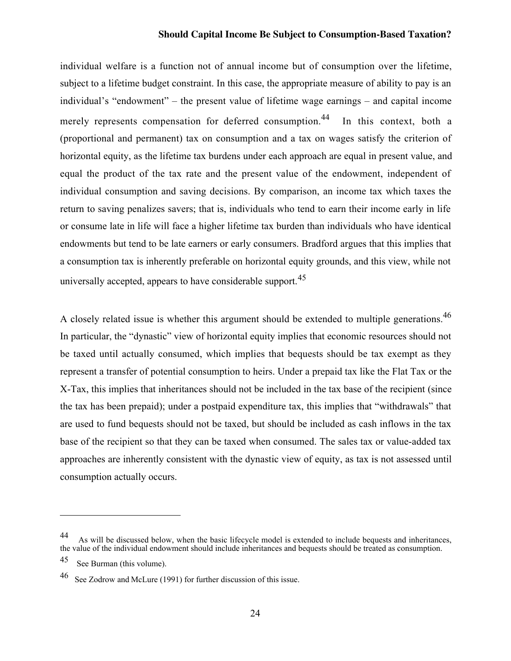individual welfare is a function not of annual income but of consumption over the lifetime, subject to a lifetime budget constraint. In this case, the appropriate measure of ability to pay is an individual's "endowment" – the present value of lifetime wage earnings – and capital income merely represents compensation for deferred consumption.<sup>44</sup> In this context, both a (proportional and permanent) tax on consumption and a tax on wages satisfy the criterion of horizontal equity, as the lifetime tax burdens under each approach are equal in present value, and equal the product of the tax rate and the present value of the endowment, independent of individual consumption and saving decisions. By comparison, an income tax which taxes the return to saving penalizes savers; that is, individuals who tend to earn their income early in life or consume late in life will face a higher lifetime tax burden than individuals who have identical endowments but tend to be late earners or early consumers. Bradford argues that this implies that a consumption tax is inherently preferable on horizontal equity grounds, and this view, while not universally accepted, appears to have considerable support.<sup>45</sup>

A closely related issue is whether this argument should be extended to multiple generations.<sup>46</sup> In particular, the "dynastic" view of horizontal equity implies that economic resources should not be taxed until actually consumed, which implies that bequests should be tax exempt as they represent a transfer of potential consumption to heirs. Under a prepaid tax like the Flat Tax or the X-Tax, this implies that inheritances should not be included in the tax base of the recipient (since the tax has been prepaid); under a postpaid expenditure tax, this implies that "withdrawals" that are used to fund bequests should not be taxed, but should be included as cash inflows in the tax base of the recipient so that they can be taxed when consumed. The sales tax or value-added tax approaches are inherently consistent with the dynastic view of equity, as tax is not assessed until consumption actually occurs.

<sup>44</sup> As will be discussed below, when the basic lifecycle model is extended to include bequests and inheritances, the value of the individual endowment should include inheritances and bequests should be treated as consumption.

<sup>45</sup> See Burman (this volume).

<sup>46</sup> See Zodrow and McLure (1991) for further discussion of this issue.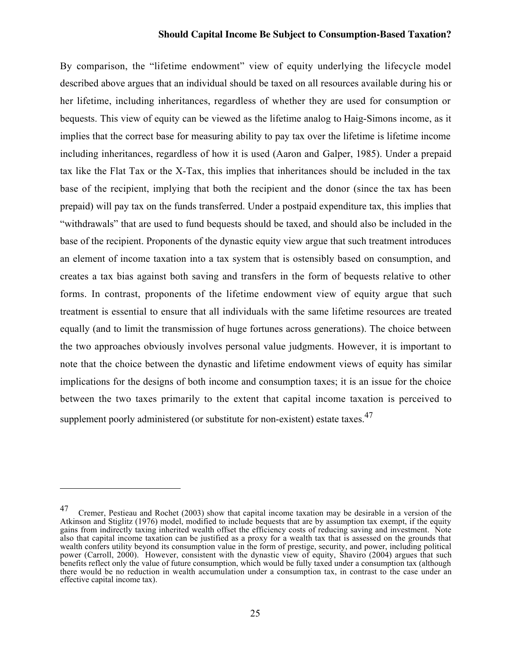By comparison, the "lifetime endowment" view of equity underlying the lifecycle model described above argues that an individual should be taxed on all resources available during his or her lifetime, including inheritances, regardless of whether they are used for consumption or bequests. This view of equity can be viewed as the lifetime analog to Haig-Simons income, as it implies that the correct base for measuring ability to pay tax over the lifetime is lifetime income including inheritances, regardless of how it is used (Aaron and Galper, 1985). Under a prepaid tax like the Flat Tax or the X-Tax, this implies that inheritances should be included in the tax base of the recipient, implying that both the recipient and the donor (since the tax has been prepaid) will pay tax on the funds transferred. Under a postpaid expenditure tax, this implies that "withdrawals" that are used to fund bequests should be taxed, and should also be included in the base of the recipient. Proponents of the dynastic equity view argue that such treatment introduces an element of income taxation into a tax system that is ostensibly based on consumption, and creates a tax bias against both saving and transfers in the form of bequests relative to other forms. In contrast, proponents of the lifetime endowment view of equity argue that such treatment is essential to ensure that all individuals with the same lifetime resources are treated equally (and to limit the transmission of huge fortunes across generations). The choice between the two approaches obviously involves personal value judgments. However, it is important to note that the choice between the dynastic and lifetime endowment views of equity has similar implications for the designs of both income and consumption taxes; it is an issue for the choice between the two taxes primarily to the extent that capital income taxation is perceived to supplement poorly administered (or substitute for non-existent) estate taxes.<sup>47</sup>

<sup>47</sup> Cremer, Pestieau and Rochet (2003) show that capital income taxation may be desirable in a version of the Atkinson and Stiglitz (1976) model, modified to include bequests that are by assumption tax exempt, if the equity gains from indirectly taxing inherited wealth offset the efficiency costs of reducing saving and investment. Note also that capital income taxation can be justified as a proxy for a wealth tax that is assessed on the grounds that wealth confers utility beyond its consumption value in the form of prestige, security, and power, including political power (Carroll, 2000). However, consistent with the dynastic view of equity, Shaviro (2004) argues that such benefits reflect only the value of future consumption, which would be fully taxed under a consumption tax (although there would be no reduction in wealth accumulation under a consumption tax, in contrast to the case under an effective capital income tax).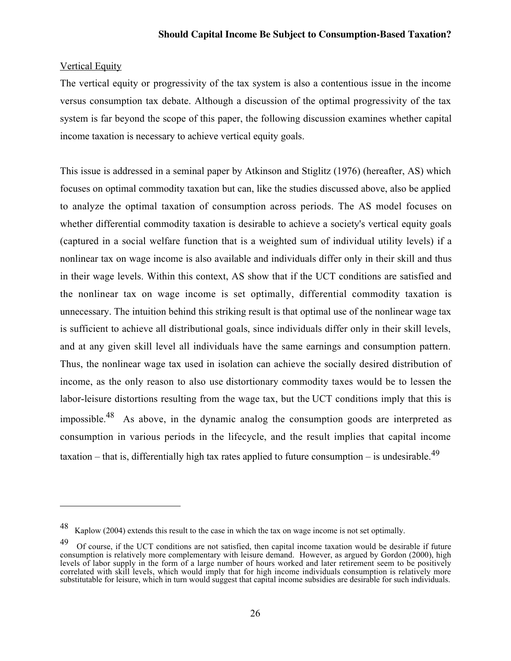#### Vertical Equity

 $\overline{a}$ 

The vertical equity or progressivity of the tax system is also a contentious issue in the income versus consumption tax debate. Although a discussion of the optimal progressivity of the tax system is far beyond the scope of this paper, the following discussion examines whether capital income taxation is necessary to achieve vertical equity goals.

This issue is addressed in a seminal paper by Atkinson and Stiglitz (1976) (hereafter, AS) which focuses on optimal commodity taxation but can, like the studies discussed above, also be applied to analyze the optimal taxation of consumption across periods. The AS model focuses on whether differential commodity taxation is desirable to achieve a society's vertical equity goals (captured in a social welfare function that is a weighted sum of individual utility levels) if a nonlinear tax on wage income is also available and individuals differ only in their skill and thus in their wage levels. Within this context, AS show that if the UCT conditions are satisfied and the nonlinear tax on wage income is set optimally, differential commodity taxation is unnecessary. The intuition behind this striking result is that optimal use of the nonlinear wage tax is sufficient to achieve all distributional goals, since individuals differ only in their skill levels, and at any given skill level all individuals have the same earnings and consumption pattern. Thus, the nonlinear wage tax used in isolation can achieve the socially desired distribution of income, as the only reason to also use distortionary commodity taxes would be to lessen the labor-leisure distortions resulting from the wage tax, but the UCT conditions imply that this is impossible.<sup>48</sup> As above, in the dynamic analog the consumption goods are interpreted as consumption in various periods in the lifecycle, and the result implies that capital income taxation – that is, differentially high tax rates applied to future consumption – is undesirable.<sup>49</sup>

<sup>48</sup> Kaplow (2004) extends this result to the case in which the tax on wage income is not set optimally.

<sup>&</sup>lt;sup>49</sup> Of course, if the UCT conditions are not satisfied, then capital income taxation would be desirable if future consumption is relatively more complementary with leisure demand. However, as argued by Gordon (2000), high levels of labor supply in the form of a large number of hours worked and later retirement seem to be positively correlated with skill levels, which would imply that for high income individuals consumption is relatively more substitutable for leisure, which in turn would suggest that capital income subsidies are desirable for such individuals.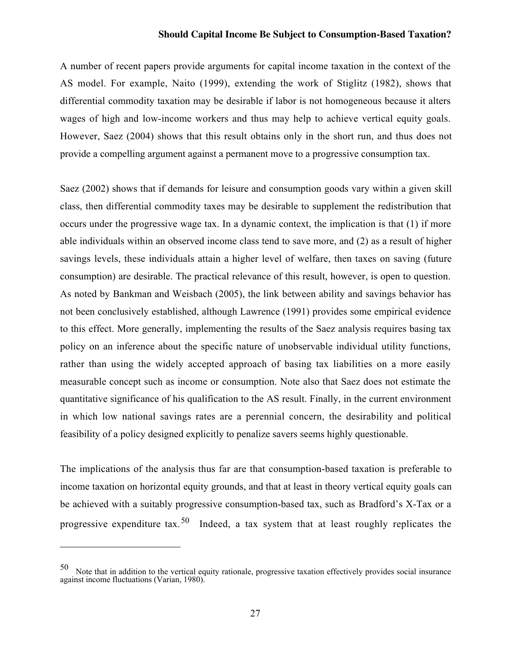A number of recent papers provide arguments for capital income taxation in the context of the AS model. For example, Naito (1999), extending the work of Stiglitz (1982), shows that differential commodity taxation may be desirable if labor is not homogeneous because it alters wages of high and low-income workers and thus may help to achieve vertical equity goals. However, Saez (2004) shows that this result obtains only in the short run, and thus does not provide a compelling argument against a permanent move to a progressive consumption tax.

Saez (2002) shows that if demands for leisure and consumption goods vary within a given skill class, then differential commodity taxes may be desirable to supplement the redistribution that occurs under the progressive wage tax. In a dynamic context, the implication is that (1) if more able individuals within an observed income class tend to save more, and (2) as a result of higher savings levels, these individuals attain a higher level of welfare, then taxes on saving (future consumption) are desirable. The practical relevance of this result, however, is open to question. As noted by Bankman and Weisbach (2005), the link between ability and savings behavior has not been conclusively established, although Lawrence (1991) provides some empirical evidence to this effect. More generally, implementing the results of the Saez analysis requires basing tax policy on an inference about the specific nature of unobservable individual utility functions, rather than using the widely accepted approach of basing tax liabilities on a more easily measurable concept such as income or consumption. Note also that Saez does not estimate the quantitative significance of his qualification to the AS result. Finally, in the current environment in which low national savings rates are a perennial concern, the desirability and political feasibility of a policy designed explicitly to penalize savers seems highly questionable.

The implications of the analysis thus far are that consumption-based taxation is preferable to income taxation on horizontal equity grounds, and that at least in theory vertical equity goals can be achieved with a suitably progressive consumption-based tax, such as Bradford's X-Tax or a progressive expenditure tax.<sup>50</sup> Indeed, a tax system that at least roughly replicates the

 $\overline{\phantom{0}}$ 

<sup>50</sup> Note that in addition to the vertical equity rationale, progressive taxation effectively provides social insurance against income fluctuations (Varian, 1980).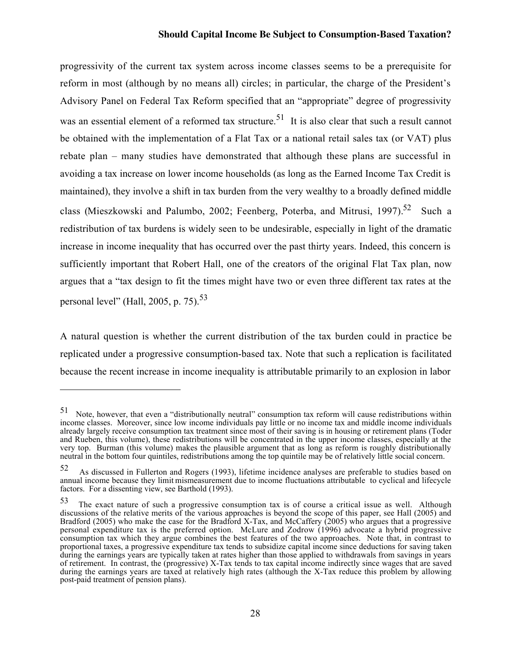progressivity of the current tax system across income classes seems to be a prerequisite for reform in most (although by no means all) circles; in particular, the charge of the President's Advisory Panel on Federal Tax Reform specified that an "appropriate" degree of progressivity was an essential element of a reformed tax structure.<sup>51</sup> It is also clear that such a result cannot be obtained with the implementation of a Flat Tax or a national retail sales tax (or VAT) plus rebate plan – many studies have demonstrated that although these plans are successful in avoiding a tax increase on lower income households (as long as the Earned Income Tax Credit is maintained), they involve a shift in tax burden from the very wealthy to a broadly defined middle class (Mieszkowski and Palumbo, 2002; Feenberg, Poterba, and Mitrusi, 1997).<sup>52</sup> Such a redistribution of tax burdens is widely seen to be undesirable, especially in light of the dramatic increase in income inequality that has occurred over the past thirty years. Indeed, this concern is sufficiently important that Robert Hall, one of the creators of the original Flat Tax plan, now argues that a "tax design to fit the times might have two or even three different tax rates at the personal level" (Hall, 2005, p.  $75$ ).<sup>53</sup>

A natural question is whether the current distribution of the tax burden could in practice be replicated under a progressive consumption-based tax. Note that such a replication is facilitated because the recent increase in income inequality is attributable primarily to an explosion in labor

 $51$  Note, however, that even a "distributionally neutral" consumption tax reform will cause redistributions within income classes. Moreover, since low income individuals pay little or no income tax and middle income individuals already largely receive consumption tax treatment since most of their saving is in housing or retirement plans (Toder and Rueben, this volume), these redistributions will be concentrated in the upper income classes, especially at the very top. Burman (this volume) makes the plausible argument that as long as reform is roughly distributionally neutral in the bottom four quintiles, redistributions among the top quintile may be of relatively little social concern.

<sup>52</sup> As discussed in Fullerton and Rogers (1993), lifetime incidence analyses are preferable to studies based on annual income because they limit mismeasurement due to income fluctuations attributable to cyclical and lifecycle factors. For a dissenting view, see Barthold (1993).

<sup>53</sup> The exact nature of such a progressive consumption tax is of course a critical issue as well. Although discussions of the relative merits of the various approaches is beyond the scope of this paper, see Hall (2005) and Bradford (2005) who make the case for the Bradford X-Tax, and McCaffery (2005) who argues that a progressive personal expenditure tax is the preferred option. McLure and Zodrow (1996) advocate a hybrid progressive consumption tax which they argue combines the best features of the two approaches. Note that, in contrast to proportional taxes, a progressive expenditure tax tends to subsidize capital income since deductions for saving taken during the earnings years are typically taken at rates higher than those applied to withdrawals from savings in years of retirement. In contrast, the (progressive) X-Tax tends to tax capital income indirectly since wages that are saved during the earnings years are taxed at relatively high rates (although the X-Tax reduce this problem by allowing post-paid treatment of pension plans).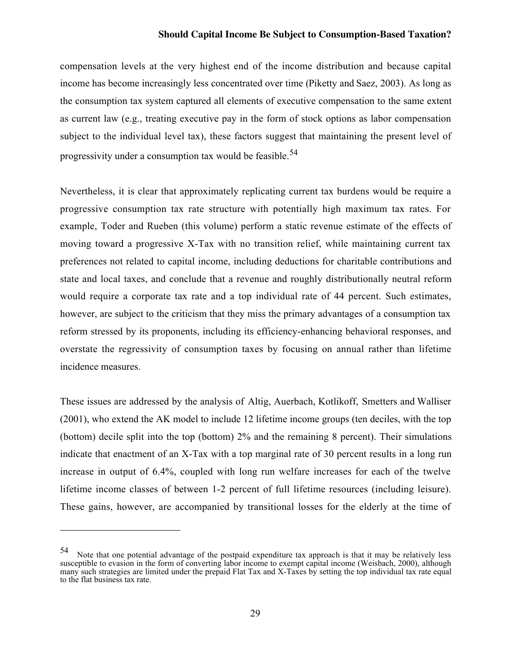compensation levels at the very highest end of the income distribution and because capital income has become increasingly less concentrated over time (Piketty and Saez, 2003). As long as the consumption tax system captured all elements of executive compensation to the same extent as current law (e.g., treating executive pay in the form of stock options as labor compensation subject to the individual level tax), these factors suggest that maintaining the present level of progressivity under a consumption tax would be feasible.<sup>54</sup>

Nevertheless, it is clear that approximately replicating current tax burdens would be require a progressive consumption tax rate structure with potentially high maximum tax rates. For example, Toder and Rueben (this volume) perform a static revenue estimate of the effects of moving toward a progressive X-Tax with no transition relief, while maintaining current tax preferences not related to capital income, including deductions for charitable contributions and state and local taxes, and conclude that a revenue and roughly distributionally neutral reform would require a corporate tax rate and a top individual rate of 44 percent. Such estimates, however, are subject to the criticism that they miss the primary advantages of a consumption tax reform stressed by its proponents, including its efficiency-enhancing behavioral responses, and overstate the regressivity of consumption taxes by focusing on annual rather than lifetime incidence measures.

These issues are addressed by the analysis of Altig, Auerbach, Kotlikoff, Smetters and Walliser (2001), who extend the AK model to include 12 lifetime income groups (ten deciles, with the top (bottom) decile split into the top (bottom) 2% and the remaining 8 percent). Their simulations indicate that enactment of an X-Tax with a top marginal rate of 30 percent results in a long run increase in output of 6.4%, coupled with long run welfare increases for each of the twelve lifetime income classes of between 1-2 percent of full lifetime resources (including leisure). These gains, however, are accompanied by transitional losses for the elderly at the time of

<sup>54</sup> Note that one potential advantage of the postpaid expenditure tax approach is that it may be relatively less susceptible to evasion in the form of converting labor income to exempt capital income (Weisbach, 2000), although many such strategies are limited under the prepaid Flat Tax and X-Taxes by setting the top individual tax rate equal to the flat business tax rate.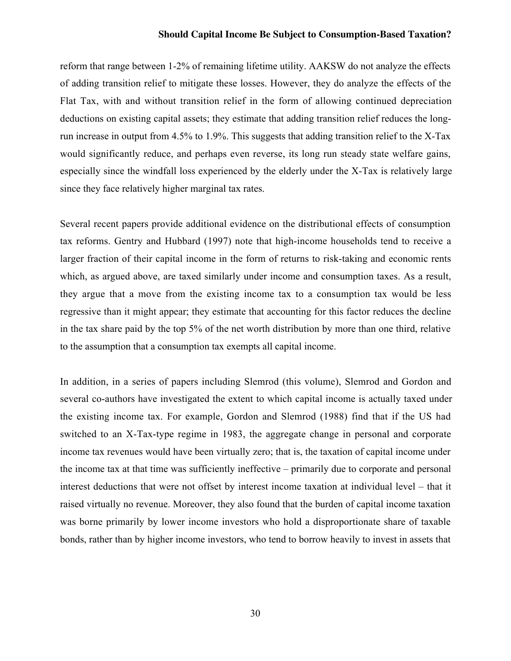reform that range between 1-2% of remaining lifetime utility. AAKSW do not analyze the effects of adding transition relief to mitigate these losses. However, they do analyze the effects of the Flat Tax, with and without transition relief in the form of allowing continued depreciation deductions on existing capital assets; they estimate that adding transition relief reduces the longrun increase in output from 4.5% to 1.9%. This suggests that adding transition relief to the X-Tax would significantly reduce, and perhaps even reverse, its long run steady state welfare gains, especially since the windfall loss experienced by the elderly under the X-Tax is relatively large since they face relatively higher marginal tax rates.

Several recent papers provide additional evidence on the distributional effects of consumption tax reforms. Gentry and Hubbard (1997) note that high-income households tend to receive a larger fraction of their capital income in the form of returns to risk-taking and economic rents which, as argued above, are taxed similarly under income and consumption taxes. As a result, they argue that a move from the existing income tax to a consumption tax would be less regressive than it might appear; they estimate that accounting for this factor reduces the decline in the tax share paid by the top 5% of the net worth distribution by more than one third, relative to the assumption that a consumption tax exempts all capital income.

In addition, in a series of papers including Slemrod (this volume), Slemrod and Gordon and several co-authors have investigated the extent to which capital income is actually taxed under the existing income tax. For example, Gordon and Slemrod (1988) find that if the US had switched to an X-Tax-type regime in 1983, the aggregate change in personal and corporate income tax revenues would have been virtually zero; that is, the taxation of capital income under the income tax at that time was sufficiently ineffective – primarily due to corporate and personal interest deductions that were not offset by interest income taxation at individual level – that it raised virtually no revenue. Moreover, they also found that the burden of capital income taxation was borne primarily by lower income investors who hold a disproportionate share of taxable bonds, rather than by higher income investors, who tend to borrow heavily to invest in assets that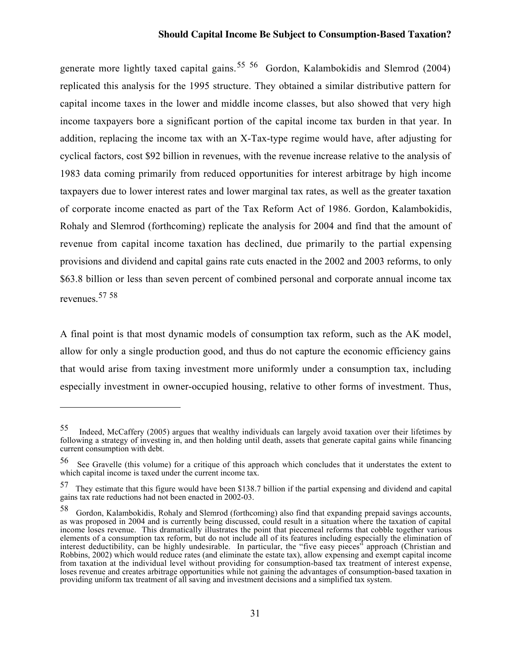generate more lightly taxed capital gains.<sup>55 56</sup> Gordon, Kalambokidis and Slemrod (2004) replicated this analysis for the 1995 structure. They obtained a similar distributive pattern for capital income taxes in the lower and middle income classes, but also showed that very high income taxpayers bore a significant portion of the capital income tax burden in that year. In addition, replacing the income tax with an X-Tax-type regime would have, after adjusting for cyclical factors, cost \$92 billion in revenues, with the revenue increase relative to the analysis of 1983 data coming primarily from reduced opportunities for interest arbitrage by high income taxpayers due to lower interest rates and lower marginal tax rates, as well as the greater taxation of corporate income enacted as part of the Tax Reform Act of 1986. Gordon, Kalambokidis, Rohaly and Slemrod (forthcoming) replicate the analysis for 2004 and find that the amount of revenue from capital income taxation has declined, due primarily to the partial expensing provisions and dividend and capital gains rate cuts enacted in the 2002 and 2003 reforms, to only \$63.8 billion or less than seven percent of combined personal and corporate annual income tax revenues.<sup>57</sup> <sup>58</sup>

A final point is that most dynamic models of consumption tax reform, such as the AK model, allow for only a single production good, and thus do not capture the economic efficiency gains that would arise from taxing investment more uniformly under a consumption tax, including especially investment in owner-occupied housing, relative to other forms of investment. Thus,

<sup>55</sup> Indeed, McCaffery (2005) argues that wealthy individuals can largely avoid taxation over their lifetimes by following a strategy of investing in, and then holding until death, assets that generate capital gains while financing current consumption with debt.

<sup>56</sup> See Gravelle (this volume) for a critique of this approach which concludes that it understates the extent to which capital income is taxed under the current income tax.

<sup>&</sup>lt;sup>57</sup> They estimate that this figure would have been \$138.7 billion if the partial expensing and dividend and capital gains tax rate reductions had not been enacted in 2002-03.

<sup>58</sup> Gordon, Kalambokidis, Rohaly and Slemrod (forthcoming) also find that expanding prepaid savings accounts, as was proposed in 2004 and is currently being discussed, could result in a situation where the taxation of capital income loses revenue. This dramatically illustrates the point that piecemeal reforms that cobble together various elements of a consumption tax reform, but do not include all of its features including especially the elimination of interest deductibility, can be highly undesirable. In particular, the "five easy pieces" approach (Christian and Robbins, 2002) which would reduce rates (and eliminate the estate tax), allow expensing and exempt capital income from taxation at the individual level without providing for consumption-based tax treatment of interest expense, loses revenue and creates arbitrage opportunities while not gaining the advantages of consumption-based taxation in providing uniform tax treatment of all saving and investment decisions and a simplified tax system.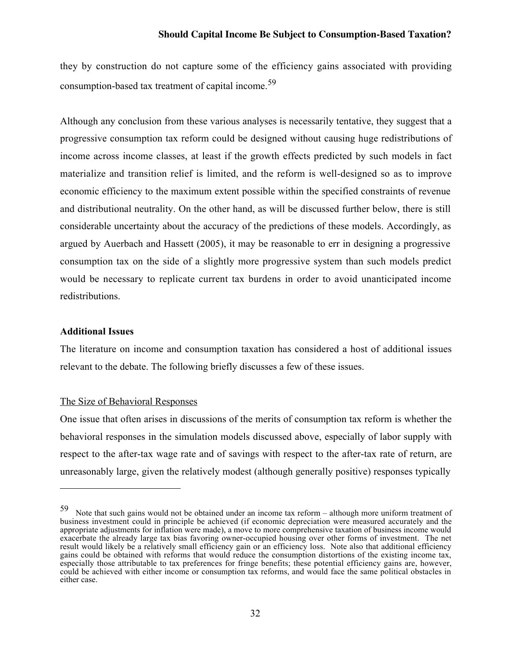they by construction do not capture some of the efficiency gains associated with providing consumption-based tax treatment of capital income.<sup>59</sup>

Although any conclusion from these various analyses is necessarily tentative, they suggest that a progressive consumption tax reform could be designed without causing huge redistributions of income across income classes, at least if the growth effects predicted by such models in fact materialize and transition relief is limited, and the reform is well-designed so as to improve economic efficiency to the maximum extent possible within the specified constraints of revenue and distributional neutrality. On the other hand, as will be discussed further below, there is still considerable uncertainty about the accuracy of the predictions of these models. Accordingly, as argued by Auerbach and Hassett (2005), it may be reasonable to err in designing a progressive consumption tax on the side of a slightly more progressive system than such models predict would be necessary to replicate current tax burdens in order to avoid unanticipated income redistributions.

#### Additional Issues

 $\overline{a}$ 

The literature on income and consumption taxation has considered a host of additional issues relevant to the debate. The following briefly discusses a few of these issues.

#### The Size of Behavioral Responses

One issue that often arises in discussions of the merits of consumption tax reform is whether the behavioral responses in the simulation models discussed above, especially of labor supply with respect to the after-tax wage rate and of savings with respect to the after-tax rate of return, are unreasonably large, given the relatively modest (although generally positive) responses typically

<sup>59</sup> Note that such gains would not be obtained under an income tax reform – although more uniform treatment of business investment could in principle be achieved (if economic depreciation were measured accurately and the appropriate adjustments for inflation were made), a move to more comprehensive taxation of business income would exacerbate the already large tax bias favoring owner-occupied housing over other forms of investment. The net result would likely be a relatively small efficiency gain or an efficiency loss. Note also that additional efficiency gains could be obtained with reforms that would reduce the consumption distortions of the existing income tax, especially those attributable to tax preferences for fringe benefits; these potential efficiency gains are, however, could be achieved with either income or consumption tax reforms, and would face the same political obstacles in either case.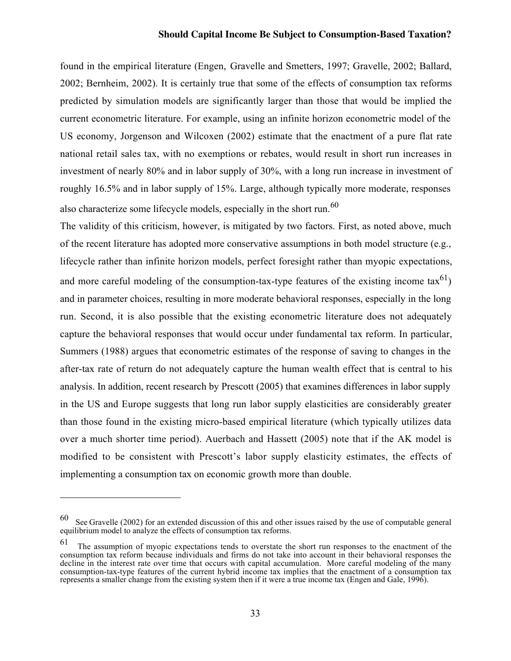found in the empirical literature (Engen, Gravelle and Smetters, 1997; Gravelle, 2002; Ballard, 2002; Bernheim, 2002). It is certainly true that some of the effects of consumption tax reforms predicted by simulation models are significantly larger than those that would be implied the current econometric literature. For example, using an infinite horizon econometric model of the US economy, Jorgenson and Wilcoxen (2002) estimate that the enactment of a pure flat rate national retail sales tax, with no exemptions or rebates, would result in short run increases in investment of nearly 80% and in labor supply of 30%, with a long run increase in investment of roughly 16.5% and in labor supply of 15%. Large, although typically more moderate, responses also characterize some lifecycle models, especially in the short run.<sup>60</sup>

The validity of this criticism, however, is mitigated by two factors. First, as noted above, much of the recent literature has adopted more conservative assumptions in both model structure (e.g., lifecycle rather than infinite horizon models, perfect foresight rather than myopic expectations, and more careful modeling of the consumption-tax-type features of the existing income  $\text{tax}^{61}$ ) and in parameter choices, resulting in more moderate behavioral responses, especially in the long run. Second, it is also possible that the existing econometric literature does not adequately capture the behavioral responses that would occur under fundamental tax reform. In particular, Summers (1988) argues that econometric estimates of the response of saving to changes in the after-tax rate of return do not adequately capture the human wealth effect that is central to his analysis. In addition, recent research by Prescott (2005) that examines differences in labor supply in the US and Europe suggests that long run labor supply elasticities are considerably greater than those found in the existing micro-based empirical literature (which typically utilizes data over a much shorter time period). Auerbach and Hassett (2005) note that if the AK model is modified to be consistent with Prescott's labor supply elasticity estimates, the effects of implementing a consumption tax on economic growth more than double.

 $60\degree$  See Gravelle (2002) for an extended discussion of this and other issues raised by the use of computable general equilibrium model to analyze the effects of consumption tax reforms.

<sup>&</sup>lt;sup>61</sup> The assumption of myopic expectations tends to overstate the short run responses to the enactment of the consumption tax reform because individuals and firms do not take into account in their behavioral responses the decline in the interest rate over time that occurs with capital accumulation. More careful modeling of the many consumption-tax-type features of the current hybrid income tax implies that the enactment of a consumption tax represents a smaller change from the existing system then if it were a true income tax (Engen and Gale, 1996).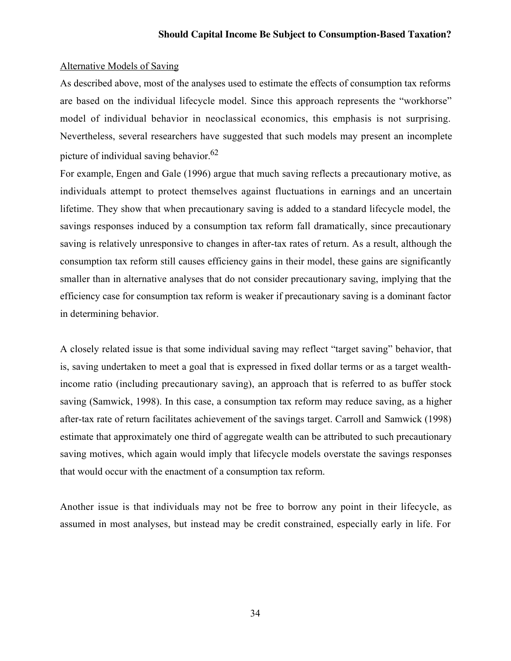#### Alternative Models of Saving

As described above, most of the analyses used to estimate the effects of consumption tax reforms are based on the individual lifecycle model. Since this approach represents the "workhorse" model of individual behavior in neoclassical economics, this emphasis is not surprising. Nevertheless, several researchers have suggested that such models may present an incomplete picture of individual saving behavior.<sup>62</sup>

For example, Engen and Gale (1996) argue that much saving reflects a precautionary motive, as individuals attempt to protect themselves against fluctuations in earnings and an uncertain lifetime. They show that when precautionary saving is added to a standard lifecycle model, the savings responses induced by a consumption tax reform fall dramatically, since precautionary saving is relatively unresponsive to changes in after-tax rates of return. As a result, although the consumption tax reform still causes efficiency gains in their model, these gains are significantly smaller than in alternative analyses that do not consider precautionary saving, implying that the efficiency case for consumption tax reform is weaker if precautionary saving is a dominant factor in determining behavior.

A closely related issue is that some individual saving may reflect "target saving" behavior, that is, saving undertaken to meet a goal that is expressed in fixed dollar terms or as a target wealthincome ratio (including precautionary saving), an approach that is referred to as buffer stock saving (Samwick, 1998). In this case, a consumption tax reform may reduce saving, as a higher after-tax rate of return facilitates achievement of the savings target. Carroll and Samwick (1998) estimate that approximately one third of aggregate wealth can be attributed to such precautionary saving motives, which again would imply that lifecycle models overstate the savings responses that would occur with the enactment of a consumption tax reform.

Another issue is that individuals may not be free to borrow any point in their lifecycle, as assumed in most analyses, but instead may be credit constrained, especially early in life. For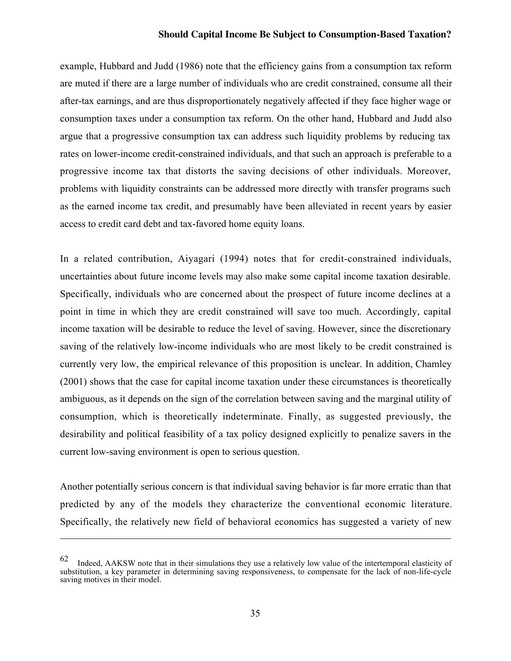example, Hubbard and Judd (1986) note that the efficiency gains from a consumption tax reform are muted if there are a large number of individuals who are credit constrained, consume all their after-tax earnings, and are thus disproportionately negatively affected if they face higher wage or consumption taxes under a consumption tax reform. On the other hand, Hubbard and Judd also argue that a progressive consumption tax can address such liquidity problems by reducing tax rates on lower-income credit-constrained individuals, and that such an approach is preferable to a progressive income tax that distorts the saving decisions of other individuals. Moreover, problems with liquidity constraints can be addressed more directly with transfer programs such as the earned income tax credit, and presumably have been alleviated in recent years by easier access to credit card debt and tax-favored home equity loans.

In a related contribution, Aiyagari (1994) notes that for credit-constrained individuals, uncertainties about future income levels may also make some capital income taxation desirable. Specifically, individuals who are concerned about the prospect of future income declines at a point in time in which they are credit constrained will save too much. Accordingly, capital income taxation will be desirable to reduce the level of saving. However, since the discretionary saving of the relatively low-income individuals who are most likely to be credit constrained is currently very low, the empirical relevance of this proposition is unclear. In addition, Chamley (2001) shows that the case for capital income taxation under these circumstances is theoretically ambiguous, as it depends on the sign of the correlation between saving and the marginal utility of consumption, which is theoretically indeterminate. Finally, as suggested previously, the desirability and political feasibility of a tax policy designed explicitly to penalize savers in the current low-saving environment is open to serious question.

Another potentially serious concern is that individual saving behavior is far more erratic than that predicted by any of the models they characterize the conventional economic literature. Specifically, the relatively new field of behavioral economics has suggested a variety of new

Indeed, AAKSW note that in their simulations they use a relatively low value of the intertemporal elasticity of substitution, a key parameter in determining saving responsiveness, to compensate for the lack of non-life-cycle saving motives in their model.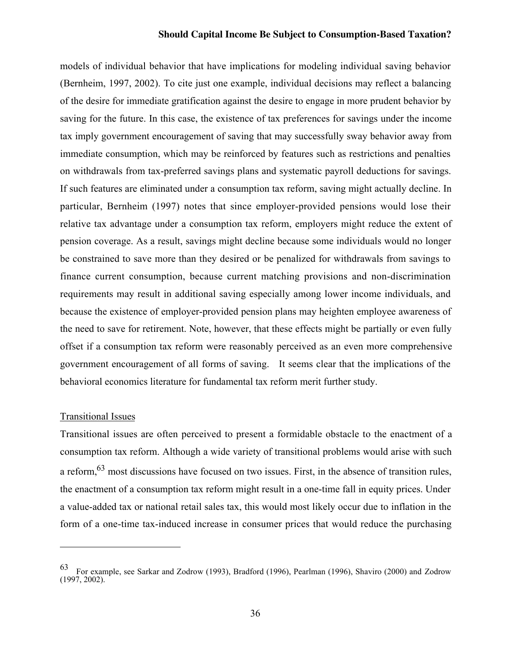models of individual behavior that have implications for modeling individual saving behavior (Bernheim, 1997, 2002). To cite just one example, individual decisions may reflect a balancing of the desire for immediate gratification against the desire to engage in more prudent behavior by saving for the future. In this case, the existence of tax preferences for savings under the income tax imply government encouragement of saving that may successfully sway behavior away from immediate consumption, which may be reinforced by features such as restrictions and penalties on withdrawals from tax-preferred savings plans and systematic payroll deductions for savings. If such features are eliminated under a consumption tax reform, saving might actually decline. In particular, Bernheim (1997) notes that since employer-provided pensions would lose their relative tax advantage under a consumption tax reform, employers might reduce the extent of pension coverage. As a result, savings might decline because some individuals would no longer be constrained to save more than they desired or be penalized for withdrawals from savings to finance current consumption, because current matching provisions and non-discrimination requirements may result in additional saving especially among lower income individuals, and because the existence of employer-provided pension plans may heighten employee awareness of the need to save for retirement. Note, however, that these effects might be partially or even fully offset if a consumption tax reform were reasonably perceived as an even more comprehensive government encouragement of all forms of saving. It seems clear that the implications of the behavioral economics literature for fundamental tax reform merit further study.

#### Transitional Issues

 $\overline{\phantom{0}}$ 

Transitional issues are often perceived to present a formidable obstacle to the enactment of a consumption tax reform. Although a wide variety of transitional problems would arise with such a reform,<sup>63</sup> most discussions have focused on two issues. First, in the absence of transition rules, the enactment of a consumption tax reform might result in a one-time fall in equity prices. Under a value-added tax or national retail sales tax, this would most likely occur due to inflation in the form of a one-time tax-induced increase in consumer prices that would reduce the purchasing

<sup>63</sup> For example, see Sarkar and Zodrow (1993), Bradford (1996), Pearlman (1996), Shaviro (2000) and Zodrow (1997, 2002).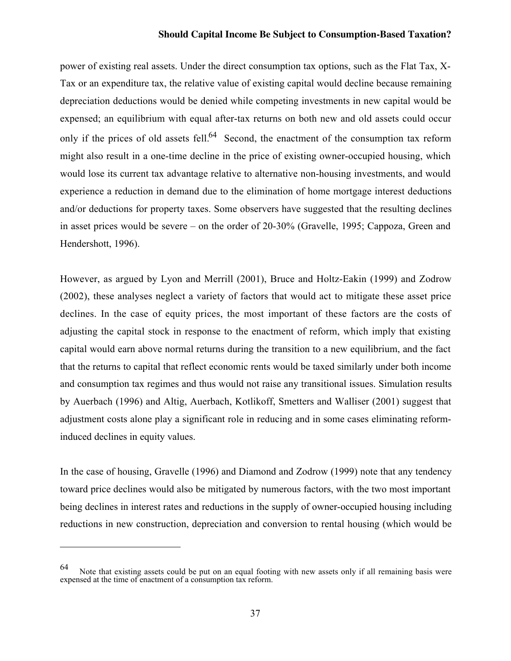power of existing real assets. Under the direct consumption tax options, such as the Flat Tax, X-Tax or an expenditure tax, the relative value of existing capital would decline because remaining depreciation deductions would be denied while competing investments in new capital would be expensed; an equilibrium with equal after-tax returns on both new and old assets could occur only if the prices of old assets fell.<sup>64</sup> Second, the enactment of the consumption tax reform might also result in a one-time decline in the price of existing owner-occupied housing, which would lose its current tax advantage relative to alternative non-housing investments, and would experience a reduction in demand due to the elimination of home mortgage interest deductions and/or deductions for property taxes. Some observers have suggested that the resulting declines in asset prices would be severe – on the order of 20-30% (Gravelle, 1995; Cappoza, Green and Hendershott, 1996).

However, as argued by Lyon and Merrill (2001), Bruce and Holtz-Eakin (1999) and Zodrow (2002), these analyses neglect a variety of factors that would act to mitigate these asset price declines. In the case of equity prices, the most important of these factors are the costs of adjusting the capital stock in response to the enactment of reform, which imply that existing capital would earn above normal returns during the transition to a new equilibrium, and the fact that the returns to capital that reflect economic rents would be taxed similarly under both income and consumption tax regimes and thus would not raise any transitional issues. Simulation results by Auerbach (1996) and Altig, Auerbach, Kotlikoff, Smetters and Walliser (2001) suggest that adjustment costs alone play a significant role in reducing and in some cases eliminating reforminduced declines in equity values.

In the case of housing, Gravelle (1996) and Diamond and Zodrow (1999) note that any tendency toward price declines would also be mitigated by numerous factors, with the two most important being declines in interest rates and reductions in the supply of owner-occupied housing including reductions in new construction, depreciation and conversion to rental housing (which would be

 $\overline{\phantom{0}}$ 

<sup>64</sup> Note that existing assets could be put on an equal footing with new assets only if all remaining basis were expensed at the time of enactment of a consumption tax reform.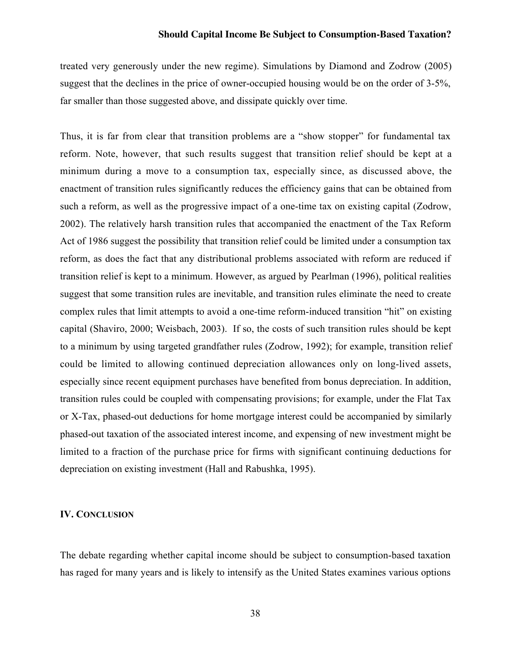treated very generously under the new regime). Simulations by Diamond and Zodrow (2005) suggest that the declines in the price of owner-occupied housing would be on the order of 3-5%, far smaller than those suggested above, and dissipate quickly over time.

Thus, it is far from clear that transition problems are a "show stopper" for fundamental tax reform. Note, however, that such results suggest that transition relief should be kept at a minimum during a move to a consumption tax, especially since, as discussed above, the enactment of transition rules significantly reduces the efficiency gains that can be obtained from such a reform, as well as the progressive impact of a one-time tax on existing capital (Zodrow, 2002). The relatively harsh transition rules that accompanied the enactment of the Tax Reform Act of 1986 suggest the possibility that transition relief could be limited under a consumption tax reform, as does the fact that any distributional problems associated with reform are reduced if transition relief is kept to a minimum. However, as argued by Pearlman (1996), political realities suggest that some transition rules are inevitable, and transition rules eliminate the need to create complex rules that limit attempts to avoid a one-time reform-induced transition "hit" on existing capital (Shaviro, 2000; Weisbach, 2003). If so, the costs of such transition rules should be kept to a minimum by using targeted grandfather rules (Zodrow, 1992); for example, transition relief could be limited to allowing continued depreciation allowances only on long-lived assets, especially since recent equipment purchases have benefited from bonus depreciation. In addition, transition rules could be coupled with compensating provisions; for example, under the Flat Tax or X-Tax, phased-out deductions for home mortgage interest could be accompanied by similarly phased-out taxation of the associated interest income, and expensing of new investment might be limited to a fraction of the purchase price for firms with significant continuing deductions for depreciation on existing investment (Hall and Rabushka, 1995).

#### IV. CONCLUSION

The debate regarding whether capital income should be subject to consumption-based taxation has raged for many years and is likely to intensify as the United States examines various options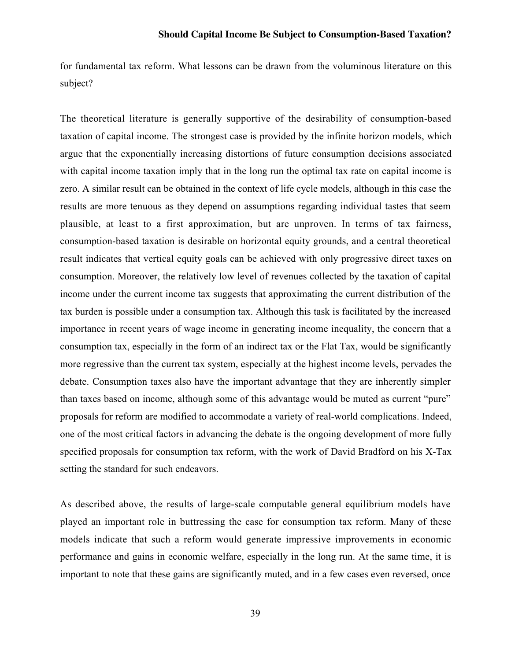for fundamental tax reform. What lessons can be drawn from the voluminous literature on this subject?

The theoretical literature is generally supportive of the desirability of consumption-based taxation of capital income. The strongest case is provided by the infinite horizon models, which argue that the exponentially increasing distortions of future consumption decisions associated with capital income taxation imply that in the long run the optimal tax rate on capital income is zero. A similar result can be obtained in the context of life cycle models, although in this case the results are more tenuous as they depend on assumptions regarding individual tastes that seem plausible, at least to a first approximation, but are unproven. In terms of tax fairness, consumption-based taxation is desirable on horizontal equity grounds, and a central theoretical result indicates that vertical equity goals can be achieved with only progressive direct taxes on consumption. Moreover, the relatively low level of revenues collected by the taxation of capital income under the current income tax suggests that approximating the current distribution of the tax burden is possible under a consumption tax. Although this task is facilitated by the increased importance in recent years of wage income in generating income inequality, the concern that a consumption tax, especially in the form of an indirect tax or the Flat Tax, would be significantly more regressive than the current tax system, especially at the highest income levels, pervades the debate. Consumption taxes also have the important advantage that they are inherently simpler than taxes based on income, although some of this advantage would be muted as current "pure" proposals for reform are modified to accommodate a variety of real-world complications. Indeed, one of the most critical factors in advancing the debate is the ongoing development of more fully specified proposals for consumption tax reform, with the work of David Bradford on his X-Tax setting the standard for such endeavors.

As described above, the results of large-scale computable general equilibrium models have played an important role in buttressing the case for consumption tax reform. Many of these models indicate that such a reform would generate impressive improvements in economic performance and gains in economic welfare, especially in the long run. At the same time, it is important to note that these gains are significantly muted, and in a few cases even reversed, once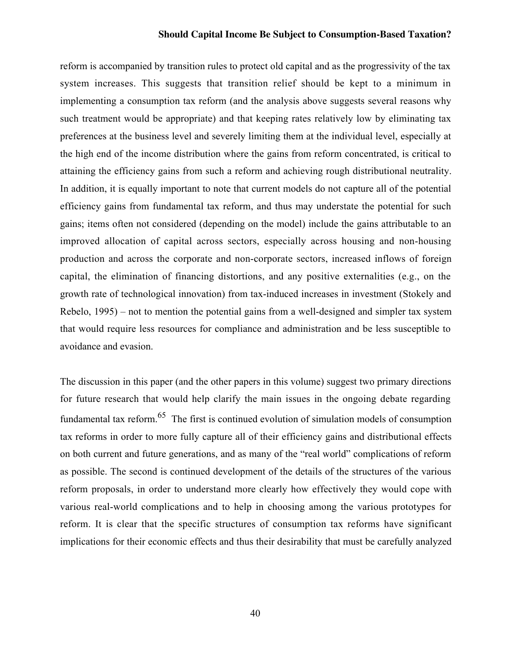reform is accompanied by transition rules to protect old capital and as the progressivity of the tax system increases. This suggests that transition relief should be kept to a minimum in implementing a consumption tax reform (and the analysis above suggests several reasons why such treatment would be appropriate) and that keeping rates relatively low by eliminating tax preferences at the business level and severely limiting them at the individual level, especially at the high end of the income distribution where the gains from reform concentrated, is critical to attaining the efficiency gains from such a reform and achieving rough distributional neutrality. In addition, it is equally important to note that current models do not capture all of the potential efficiency gains from fundamental tax reform, and thus may understate the potential for such gains; items often not considered (depending on the model) include the gains attributable to an improved allocation of capital across sectors, especially across housing and non-housing production and across the corporate and non-corporate sectors, increased inflows of foreign capital, the elimination of financing distortions, and any positive externalities (e.g., on the growth rate of technological innovation) from tax-induced increases in investment (Stokely and Rebelo, 1995) – not to mention the potential gains from a well-designed and simpler tax system that would require less resources for compliance and administration and be less susceptible to avoidance and evasion.

The discussion in this paper (and the other papers in this volume) suggest two primary directions for future research that would help clarify the main issues in the ongoing debate regarding fundamental tax reform.65 The first is continued evolution of simulation models of consumption tax reforms in order to more fully capture all of their efficiency gains and distributional effects on both current and future generations, and as many of the "real world" complications of reform as possible. The second is continued development of the details of the structures of the various reform proposals, in order to understand more clearly how effectively they would cope with various real-world complications and to help in choosing among the various prototypes for reform. It is clear that the specific structures of consumption tax reforms have significant implications for their economic effects and thus their desirability that must be carefully analyzed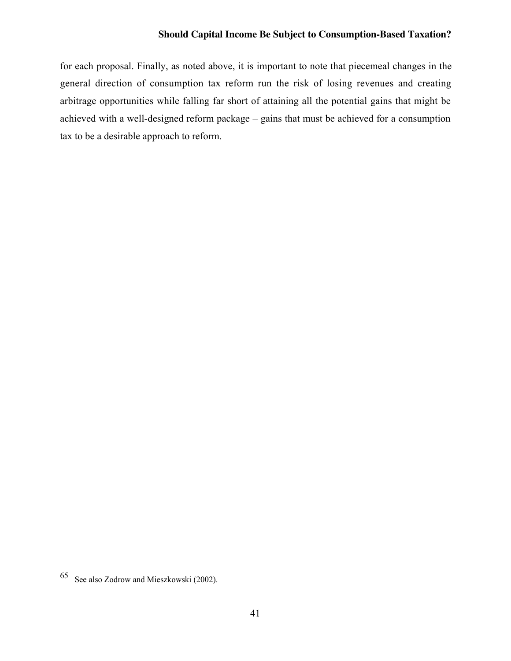for each proposal. Finally, as noted above, it is important to note that piecemeal changes in the general direction of consumption tax reform run the risk of losing revenues and creating arbitrage opportunities while falling far short of attaining all the potential gains that might be achieved with a well-designed reform package – gains that must be achieved for a consumption tax to be a desirable approach to reform.

<sup>65</sup> See also Zodrow and Mieszkowski (2002).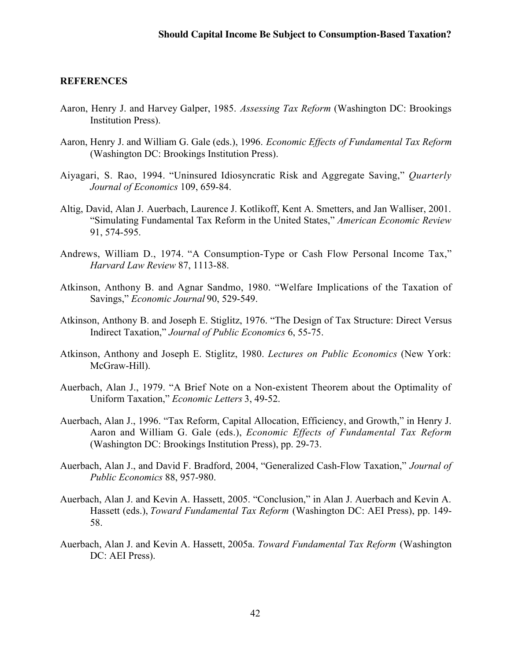#### **REFERENCES**

- Aaron, Henry J. and Harvey Galper, 1985. *Assessing Tax Reform* (Washington DC: Brookings Institution Press).
- Aaron, Henry J. and William G. Gale (eds.), 1996. *Economic Effects of Fundamental Tax Reform* (Washington DC: Brookings Institution Press).
- Aiyagari, S. Rao, 1994. "Uninsured Idiosyncratic Risk and Aggregate Saving," *Quarterly Journal of Economics* 109, 659-84.
- Altig, David, Alan J. Auerbach, Laurence J. Kotlikoff, Kent A. Smetters, and Jan Walliser, 2001. "Simulating Fundamental Tax Reform in the United States," *American Economic Review* 91, 574-595.
- Andrews, William D., 1974. "A Consumption-Type or Cash Flow Personal Income Tax," *Harvard Law Review* 87, 1113-88.
- Atkinson, Anthony B. and Agnar Sandmo, 1980. "Welfare Implications of the Taxation of Savings," *Economic Journal* 90, 529-549.
- Atkinson, Anthony B. and Joseph E. Stiglitz, 1976. "The Design of Tax Structure: Direct Versus Indirect Taxation," *Journal of Public Economics* 6, 55-75.
- Atkinson, Anthony and Joseph E. Stiglitz, 1980. *Lectures on Public Economics* (New York: McGraw-Hill).
- Auerbach, Alan J., 1979. "A Brief Note on a Non-existent Theorem about the Optimality of Uniform Taxation," *Economic Letters* 3, 49-52.
- Auerbach, Alan J., 1996. "Tax Reform, Capital Allocation, Efficiency, and Growth," in Henry J. Aaron and William G. Gale (eds.), *Economic Effects of Fundamental Tax Reform* (Washington DC: Brookings Institution Press), pp. 29-73.
- Auerbach, Alan J., and David F. Bradford, 2004, "Generalized Cash-Flow Taxation," *Journal of Public Economics* 88, 957-980.
- Auerbach, Alan J. and Kevin A. Hassett, 2005. "Conclusion," in Alan J. Auerbach and Kevin A. Hassett (eds.), *Toward Fundamental Tax Reform* (Washington DC: AEI Press), pp. 149- 58.
- Auerbach, Alan J. and Kevin A. Hassett, 2005a. *Toward Fundamental Tax Reform* (Washington DC: AEI Press).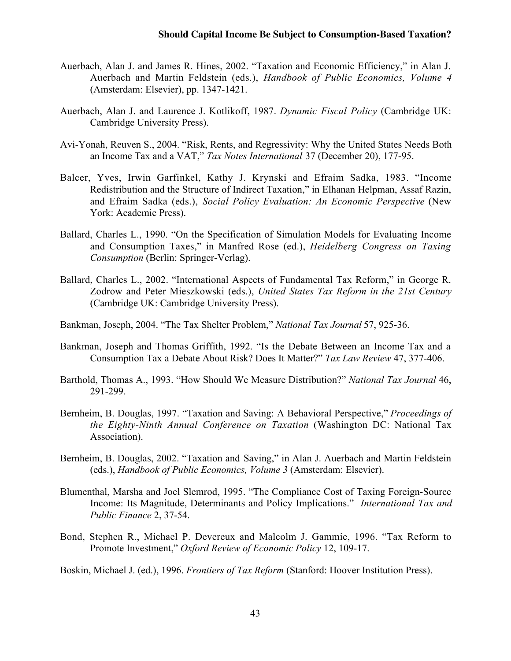- Auerbach, Alan J. and James R. Hines, 2002. "Taxation and Economic Efficiency," in Alan J. Auerbach and Martin Feldstein (eds.), *Handbook of Public Economics, Volume 4* (Amsterdam: Elsevier), pp. 1347-1421.
- Auerbach, Alan J. and Laurence J. Kotlikoff, 1987. *Dynamic Fiscal Policy* (Cambridge UK: Cambridge University Press).
- Avi-Yonah, Reuven S., 2004. "Risk, Rents, and Regressivity: Why the United States Needs Both an Income Tax and a VAT," *Tax Notes International* 37 (December 20), 177-95.
- Balcer, Yves, Irwin Garfinkel, Kathy J. Krynski and Efraim Sadka, 1983. "Income Redistribution and the Structure of Indirect Taxation," in Elhanan Helpman, Assaf Razin, and Efraim Sadka (eds.), *Social Policy Evaluation: An Economic Perspective* (New York: Academic Press).
- Ballard, Charles L., 1990. "On the Specification of Simulation Models for Evaluating Income and Consumption Taxes," in Manfred Rose (ed.), *Heidelberg Congress on Taxing Consumption* (Berlin: Springer-Verlag).
- Ballard, Charles L., 2002. "International Aspects of Fundamental Tax Reform," in George R. Zodrow and Peter Mieszkowski (eds.), *United States Tax Reform in the 21st Century* (Cambridge UK: Cambridge University Press).
- Bankman, Joseph, 2004. "The Tax Shelter Problem," *National Tax Journal* 57, 925-36.
- Bankman, Joseph and Thomas Griffith, 1992. "Is the Debate Between an Income Tax and a Consumption Tax a Debate About Risk? Does It Matter?" *Tax Law Review* 47, 377-406.
- Barthold, Thomas A., 1993. "How Should We Measure Distribution?" *National Tax Journal* 46, 291-299.
- Bernheim, B. Douglas, 1997. "Taxation and Saving: A Behavioral Perspective," *Proceedings of the Eighty-Ninth Annual Conference on Taxation* (Washington DC: National Tax Association).
- Bernheim, B. Douglas, 2002. "Taxation and Saving," in Alan J. Auerbach and Martin Feldstein (eds.), *Handbook of Public Economics, Volume 3* (Amsterdam: Elsevier).
- Blumenthal, Marsha and Joel Slemrod, 1995. "The Compliance Cost of Taxing Foreign-Source Income: Its Magnitude, Determinants and Policy Implications." *International Tax and Public Finance* 2, 37-54.
- Bond, Stephen R., Michael P. Devereux and Malcolm J. Gammie, 1996. "Tax Reform to Promote Investment," *Oxford Review of Economic Policy* 12, 109-17.

Boskin, Michael J. (ed.), 1996. *Frontiers of Tax Reform* (Stanford: Hoover Institution Press).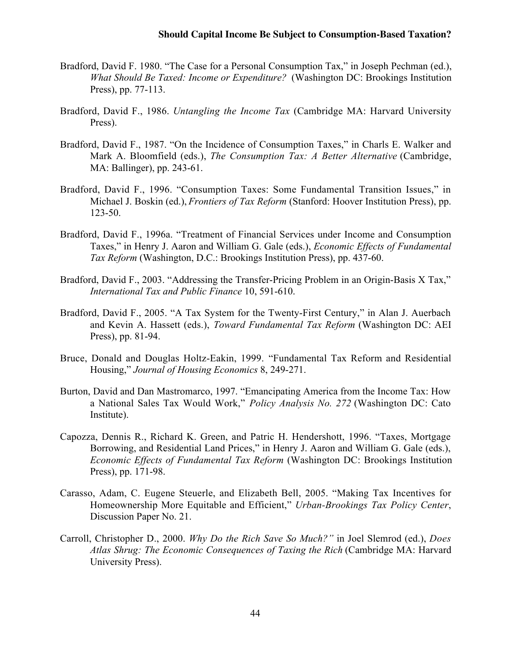- Bradford, David F. 1980. "The Case for a Personal Consumption Tax," in Joseph Pechman (ed.), *What Should Be Taxed: Income or Expenditure?* (Washington DC: Brookings Institution Press), pp. 77-113.
- Bradford, David F., 1986. *Untangling the Income Tax* (Cambridge MA: Harvard University Press).
- Bradford, David F., 1987. "On the Incidence of Consumption Taxes," in Charls E. Walker and Mark A. Bloomfield (eds.), *The Consumption Tax: A Better Alternative* (Cambridge, MA: Ballinger), pp. 243-61.
- Bradford, David F., 1996. "Consumption Taxes: Some Fundamental Transition Issues," in Michael J. Boskin (ed.), *Frontiers of Tax Reform* (Stanford: Hoover Institution Press), pp. 123-50.
- Bradford, David F., 1996a. "Treatment of Financial Services under Income and Consumption Taxes," in Henry J. Aaron and William G. Gale (eds.), *Economic Effects of Fundamental Tax Reform* (Washington, D.C.: Brookings Institution Press), pp. 437-60.
- Bradford, David F., 2003. "Addressing the Transfer-Pricing Problem in an Origin-Basis X Tax," *International Tax and Public Finance* 10, 591-610.
- Bradford, David F., 2005. "A Tax System for the Twenty-First Century," in Alan J. Auerbach and Kevin A. Hassett (eds.), *Toward Fundamental Tax Reform* (Washington DC: AEI Press), pp. 81-94.
- Bruce, Donald and Douglas Holtz-Eakin, 1999. "Fundamental Tax Reform and Residential Housing," *Journal of Housing Economics* 8, 249-271.
- Burton, David and Dan Mastromarco, 1997. "Emancipating America from the Income Tax: How a National Sales Tax Would Work," *Policy Analysis No. 272* (Washington DC: Cato Institute).
- Capozza, Dennis R., Richard K. Green, and Patric H. Hendershott, 1996. "Taxes, Mortgage Borrowing, and Residential Land Prices," in Henry J. Aaron and William G. Gale (eds.), *Economic Effects of Fundamental Tax Reform* (Washington DC: Brookings Institution Press), pp. 171-98.
- Carasso, Adam, C. Eugene Steuerle, and Elizabeth Bell, 2005. "Making Tax Incentives for Homeownership More Equitable and Efficient," *Urban-Brookings Tax Policy Center*, Discussion Paper No. 21.
- Carroll, Christopher D., 2000. *Why Do the Rich Save So Much?"* in Joel Slemrod (ed.), *Does Atlas Shrug: The Economic Consequences of Taxing the Rich* (Cambridge MA: Harvard University Press).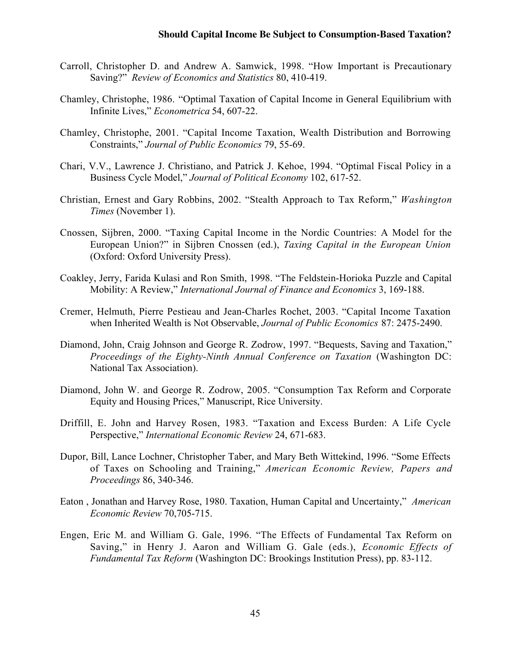- Carroll, Christopher D. and Andrew A. Samwick, 1998. "How Important is Precautionary Saving?" *Review of Economics and Statistics* 80, 410-419.
- Chamley, Christophe, 1986. "Optimal Taxation of Capital Income in General Equilibrium with Infinite Lives," *Econometrica* 54, 607-22.
- Chamley, Christophe, 2001. "Capital Income Taxation, Wealth Distribution and Borrowing Constraints," *Journal of Public Economics* 79, 55-69.
- Chari, V.V., Lawrence J. Christiano, and Patrick J. Kehoe, 1994. "Optimal Fiscal Policy in a Business Cycle Model," *Journal of Political Economy* 102, 617-52.
- Christian, Ernest and Gary Robbins, 2002. "Stealth Approach to Tax Reform," *Washington Times* (November 1).
- Cnossen, Sijbren, 2000. "Taxing Capital Income in the Nordic Countries: A Model for the European Union?" in Sijbren Cnossen (ed.), *Taxing Capital in the European Union* (Oxford: Oxford University Press).
- Coakley, Jerry, Farida Kulasi and Ron Smith, 1998. "The Feldstein-Horioka Puzzle and Capital Mobility: A Review," *International Journal of Finance and Economics* 3, 169-188.
- Cremer, Helmuth, Pierre Pestieau and Jean-Charles Rochet, 2003. "Capital Income Taxation when Inherited Wealth is Not Observable, *Journal of Public Economics* 87: 2475-2490.
- Diamond, John, Craig Johnson and George R. Zodrow, 1997. "Bequests, Saving and Taxation," *Proceedings of the Eighty-Ninth Annual Conference on Taxation* (Washington DC: National Tax Association).
- Diamond, John W. and George R. Zodrow, 2005. "Consumption Tax Reform and Corporate Equity and Housing Prices," Manuscript, Rice University.
- Driffill, E. John and Harvey Rosen, 1983. "Taxation and Excess Burden: A Life Cycle Perspective," *International Economic Review* 24, 671-683.
- Dupor, Bill, Lance Lochner, Christopher Taber, and Mary Beth Wittekind, 1996. "Some Effects of Taxes on Schooling and Training," *American Economic Review, Papers and Proceedings* 86, 340-346.
- Eaton , Jonathan and Harvey Rose, 1980. Taxation, Human Capital and Uncertainty," *American Economic Review* 70,705-715.
- Engen, Eric M. and William G. Gale, 1996. "The Effects of Fundamental Tax Reform on Saving," in Henry J. Aaron and William G. Gale (eds.), *Economic Effects of Fundamental Tax Reform* (Washington DC: Brookings Institution Press), pp. 83-112.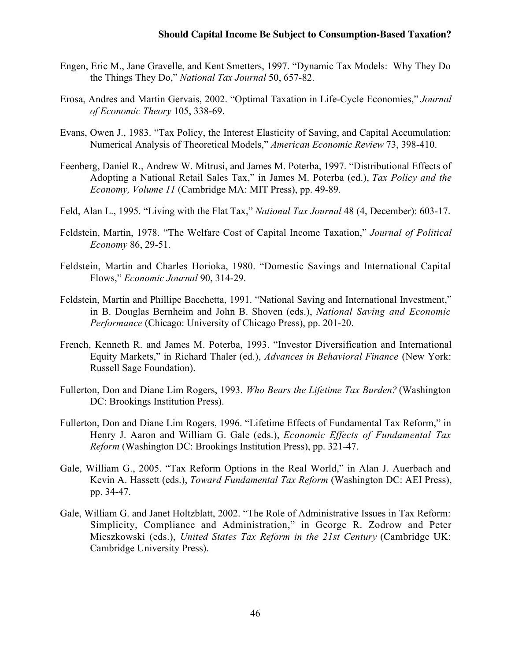- Engen, Eric M., Jane Gravelle, and Kent Smetters, 1997. "Dynamic Tax Models: Why They Do the Things They Do," *National Tax Journal* 50, 657-82.
- Erosa, Andres and Martin Gervais, 2002. "Optimal Taxation in Life-Cycle Economies," *Journal of Economic Theory* 105, 338-69.
- Evans, Owen J., 1983. "Tax Policy, the Interest Elasticity of Saving, and Capital Accumulation: Numerical Analysis of Theoretical Models," *American Economic Review* 73, 398-410.
- Feenberg, Daniel R., Andrew W. Mitrusi, and James M. Poterba, 1997. "Distributional Effects of Adopting a National Retail Sales Tax," in James M. Poterba (ed.), *Tax Policy and the Economy, Volume 11* (Cambridge MA: MIT Press), pp. 49-89.
- Feld, Alan L., 1995. "Living with the Flat Tax," *National Tax Journal* 48 (4, December): 603-17.
- Feldstein, Martin, 1978. "The Welfare Cost of Capital Income Taxation," *Journal of Political Economy* 86, 29-51.
- Feldstein, Martin and Charles Horioka, 1980. "Domestic Savings and International Capital Flows," *Economic Journal* 90, 314-29.
- Feldstein, Martin and Phillipe Bacchetta, 1991. "National Saving and International Investment," in B. Douglas Bernheim and John B. Shoven (eds.), *National Saving and Economic Performance* (Chicago: University of Chicago Press), pp. 201-20.
- French, Kenneth R. and James M. Poterba, 1993. "Investor Diversification and International Equity Markets," in Richard Thaler (ed.), *Advances in Behavioral Finance* (New York: Russell Sage Foundation).
- Fullerton, Don and Diane Lim Rogers, 1993. *Who Bears the Lifetime Tax Burden?* (Washington DC: Brookings Institution Press).
- Fullerton, Don and Diane Lim Rogers, 1996. "Lifetime Effects of Fundamental Tax Reform," in Henry J. Aaron and William G. Gale (eds.), *Economic Effects of Fundamental Tax Reform* (Washington DC: Brookings Institution Press), pp. 321-47.
- Gale, William G., 2005. "Tax Reform Options in the Real World," in Alan J. Auerbach and Kevin A. Hassett (eds.), *Toward Fundamental Tax Reform* (Washington DC: AEI Press), pp. 34-47.
- Gale, William G. and Janet Holtzblatt, 2002. "The Role of Administrative Issues in Tax Reform: Simplicity, Compliance and Administration," in George R. Zodrow and Peter Mieszkowski (eds.), *United States Tax Reform in the 21st Century* (Cambridge UK: Cambridge University Press).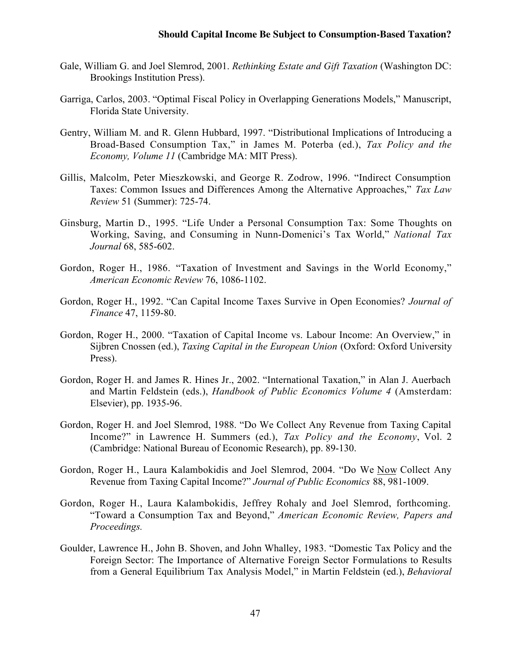- Gale, William G. and Joel Slemrod, 2001. *Rethinking Estate and Gift Taxation* (Washington DC: Brookings Institution Press).
- Garriga, Carlos, 2003. "Optimal Fiscal Policy in Overlapping Generations Models," Manuscript, Florida State University.
- Gentry, William M. and R. Glenn Hubbard, 1997. "Distributional Implications of Introducing a Broad-Based Consumption Tax," in James M. Poterba (ed.), *Tax Policy and the Economy, Volume 11* (Cambridge MA: MIT Press).
- Gillis, Malcolm, Peter Mieszkowski, and George R. Zodrow, 1996. "Indirect Consumption Taxes: Common Issues and Differences Among the Alternative Approaches," *Tax Law Review* 51 (Summer): 725-74.
- Ginsburg, Martin D., 1995. "Life Under a Personal Consumption Tax: Some Thoughts on Working, Saving, and Consuming in Nunn-Domenici's Tax World," *National Tax Journal* 68, 585-602.
- Gordon, Roger H., 1986. "Taxation of Investment and Savings in the World Economy," *American Economic Review* 76, 1086-1102.
- Gordon, Roger H., 1992. "Can Capital Income Taxes Survive in Open Economies? *Journal of Finance* 47, 1159-80.
- Gordon, Roger H., 2000. "Taxation of Capital Income vs. Labour Income: An Overview," in Sijbren Cnossen (ed.), *Taxing Capital in the European Union* (Oxford: Oxford University Press).
- Gordon, Roger H. and James R. Hines Jr., 2002. "International Taxation," in Alan J. Auerbach and Martin Feldstein (eds.), *Handbook of Public Economics Volume 4* (Amsterdam: Elsevier), pp. 1935-96.
- Gordon, Roger H. and Joel Slemrod, 1988. "Do We Collect Any Revenue from Taxing Capital Income?" in Lawrence H. Summers (ed.), *Tax Policy and the Economy*, Vol. 2 (Cambridge: National Bureau of Economic Research), pp. 89-130.
- Gordon, Roger H., Laura Kalambokidis and Joel Slemrod, 2004. "Do We Now Collect Any Revenue from Taxing Capital Income?" *Journal of Public Economics* 88, 981-1009.
- Gordon, Roger H., Laura Kalambokidis, Jeffrey Rohaly and Joel Slemrod, forthcoming. "Toward a Consumption Tax and Beyond," *American Economic Review, Papers and Proceedings.*
- Goulder, Lawrence H., John B. Shoven, and John Whalley, 1983. "Domestic Tax Policy and the Foreign Sector: The Importance of Alternative Foreign Sector Formulations to Results from a General Equilibrium Tax Analysis Model," in Martin Feldstein (ed.), *Behavioral*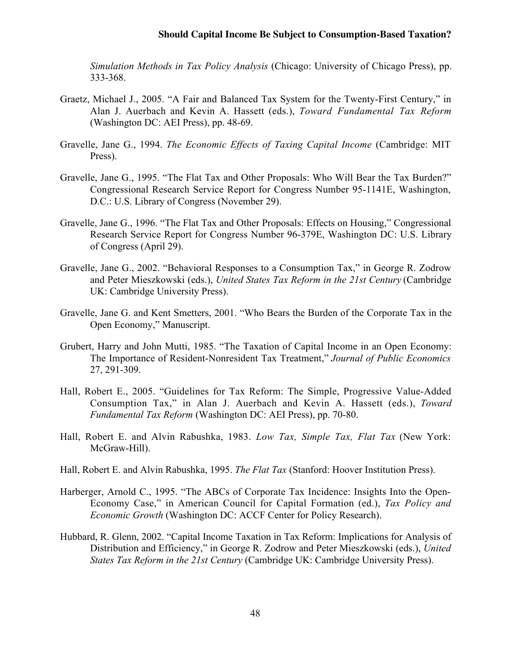*Simulation Methods in Tax Policy Analysis* (Chicago: University of Chicago Press), pp. 333-368.

- Graetz, Michael J., 2005. "A Fair and Balanced Tax System for the Twenty-First Century," in Alan J. Auerbach and Kevin A. Hassett (eds.), *Toward Fundamental Tax Reform* (Washington DC: AEI Press), pp. 48-69.
- Gravelle, Jane G., 1994. *The Economic Effects of Taxing Capital Income* (Cambridge: MIT Press).
- Gravelle, Jane G., 1995. "The Flat Tax and Other Proposals: Who Will Bear the Tax Burden?" Congressional Research Service Report for Congress Number 95-1141E, Washington, D.C.: U.S. Library of Congress (November 29).
- Gravelle, Jane G., 1996. "The Flat Tax and Other Proposals: Effects on Housing," Congressional Research Service Report for Congress Number 96-379E, Washington DC: U.S. Library of Congress (April 29).
- Gravelle, Jane G., 2002. "Behavioral Responses to a Consumption Tax," in George R. Zodrow and Peter Mieszkowski (eds.), *United States Tax Reform in the 21st Century* (Cambridge UK: Cambridge University Press).
- Gravelle, Jane G. and Kent Smetters, 2001. "Who Bears the Burden of the Corporate Tax in the Open Economy," Manuscript.
- Grubert, Harry and John Mutti, 1985. "The Taxation of Capital Income in an Open Economy: The Importance of Resident-Nonresident Tax Treatment," *Journal of Public Economics* 27, 291-309.
- Hall, Robert E., 2005. "Guidelines for Tax Reform: The Simple, Progressive Value-Added Consumption Tax," in Alan J. Auerbach and Kevin A. Hassett (eds.), *Toward Fundamental Tax Reform* (Washington DC: AEI Press), pp. 70-80.
- Hall, Robert E. and Alvin Rabushka, 1983. *Low Tax, Simple Tax, Flat Tax* (New York: McGraw-Hill).
- Hall, Robert E. and Alvin Rabushka, 1995. *The Flat Tax* (Stanford: Hoover Institution Press).
- Harberger, Arnold C., 1995. "The ABCs of Corporate Tax Incidence: Insights Into the Open-Economy Case," in American Council for Capital Formation (ed.), *Tax Policy and Economic Growth* (Washington DC: ACCF Center for Policy Research).
- Hubbard, R. Glenn, 2002. "Capital Income Taxation in Tax Reform: Implications for Analysis of Distribution and Efficiency," in George R. Zodrow and Peter Mieszkowski (eds.), *United States Tax Reform in the 21st Century* (Cambridge UK: Cambridge University Press).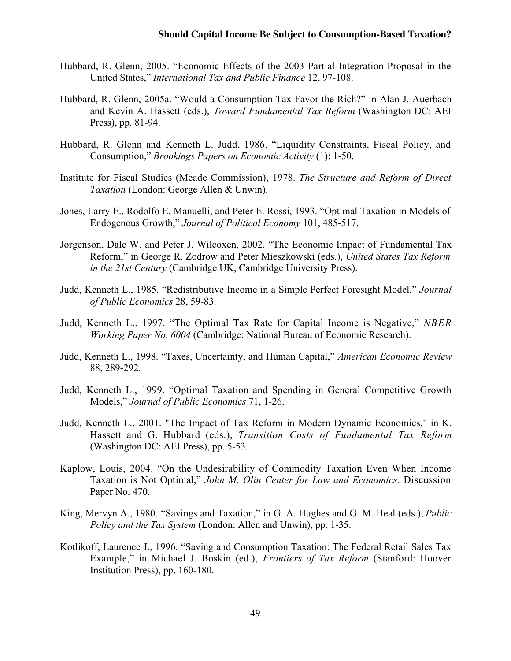- Hubbard, R. Glenn, 2005. "Economic Effects of the 2003 Partial Integration Proposal in the United States," *International Tax and Public Finance* 12, 97-108.
- Hubbard, R. Glenn, 2005a. "Would a Consumption Tax Favor the Rich?" in Alan J. Auerbach and Kevin A. Hassett (eds.), *Toward Fundamental Tax Reform* (Washington DC: AEI Press), pp. 81-94.
- Hubbard, R. Glenn and Kenneth L. Judd, 1986. "Liquidity Constraints, Fiscal Policy, and Consumption," *Brookings Papers on Economic Activity* (1): 1-50.
- Institute for Fiscal Studies (Meade Commission), 1978. *The Structure and Reform of Direct Taxation* (London: George Allen & Unwin).
- Jones, Larry E., Rodolfo E. Manuelli, and Peter E. Rossi, 1993. "Optimal Taxation in Models of Endogenous Growth," *Journal of Political Economy* 101, 485-517.
- Jorgenson, Dale W. and Peter J. Wilcoxen, 2002. "The Economic Impact of Fundamental Tax Reform," in George R. Zodrow and Peter Mieszkowski (eds.), *United States Tax Reform in the 21st Century* (Cambridge UK, Cambridge University Press).
- Judd, Kenneth L., 1985. "Redistributive Income in a Simple Perfect Foresight Model," *Journal of Public Economics* 28, 59-83.
- Judd, Kenneth L., 1997. "The Optimal Tax Rate for Capital Income is Negative," *NBER Working Paper No. 6004* (Cambridge: National Bureau of Economic Research).
- Judd, Kenneth L., 1998. "Taxes, Uncertainty, and Human Capital," *American Economic Review* 88, 289-292.
- Judd, Kenneth L., 1999. "Optimal Taxation and Spending in General Competitive Growth Models," *Journal of Public Economics* 71, 1-26.
- Judd, Kenneth L., 2001. "The Impact of Tax Reform in Modern Dynamic Economies," in K. Hassett and G. Hubbard (eds.), *Transition Costs of Fundamental Tax Reform* (Washington DC: AEI Press), pp. 5-53.
- Kaplow, Louis, 2004. "On the Undesirability of Commodity Taxation Even When Income Taxation is Not Optimal," *John M. Olin Center for Law and Economics,* Discussion Paper No. 470.
- King, Mervyn A., 1980. "Savings and Taxation," in G. A. Hughes and G. M. Heal (eds.), *Public Policy and the Tax System* (London: Allen and Unwin), pp. 1-35.
- Kotlikoff, Laurence J., 1996. "Saving and Consumption Taxation: The Federal Retail Sales Tax Example," in Michael J. Boskin (ed.), *Frontiers of Tax Reform* (Stanford: Hoover Institution Press), pp. 160-180.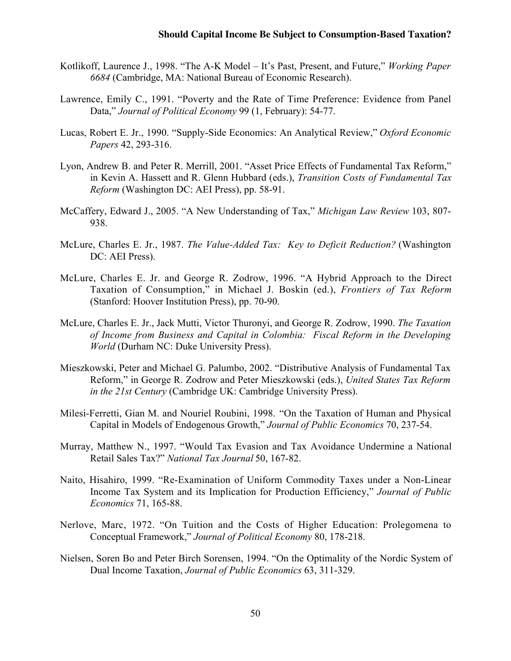- Kotlikoff, Laurence J., 1998. "The A-K Model It's Past, Present, and Future," *Working Paper 6684* (Cambridge, MA: National Bureau of Economic Research).
- Lawrence, Emily C., 1991. "Poverty and the Rate of Time Preference: Evidence from Panel Data," *Journal of Political Economy* 99 (1, February): 54-77.
- Lucas, Robert E. Jr., 1990. "Supply-Side Economics: An Analytical Review," *Oxford Economic Papers* 42, 293-316.
- Lyon, Andrew B. and Peter R. Merrill, 2001. "Asset Price Effects of Fundamental Tax Reform," in Kevin A. Hassett and R. Glenn Hubbard (eds.), *Transition Costs of Fundamental Tax Reform* (Washington DC: AEI Press), pp. 58-91.
- McCaffery, Edward J., 2005. "A New Understanding of Tax," *Michigan Law Review* 103, 807- 938.
- McLure, Charles E. Jr., 1987. *The Value-Added Tax: Key to Deficit Reduction?* (Washington DC: AEI Press).
- McLure, Charles E. Jr. and George R. Zodrow, 1996. "A Hybrid Approach to the Direct Taxation of Consumption," in Michael J. Boskin (ed.), *Frontiers of Tax Reform* (Stanford: Hoover Institution Press), pp. 70-90.
- McLure, Charles E. Jr., Jack Mutti, Victor Thuronyi, and George R. Zodrow, 1990. *The Taxation of Income from Business and Capital in Colombia: Fiscal Reform in the Developing World* (Durham NC: Duke University Press).
- Mieszkowski, Peter and Michael G. Palumbo, 2002. "Distributive Analysis of Fundamental Tax Reform," in George R. Zodrow and Peter Mieszkowski (eds.), *United States Tax Reform in the 21st Century* (Cambridge UK: Cambridge University Press).
- Milesi-Ferretti, Gian M. and Nouriel Roubini, 1998. "On the Taxation of Human and Physical Capital in Models of Endogenous Growth," *Journal of Public Economics* 70, 237-54.
- Murray, Matthew N., 1997. "Would Tax Evasion and Tax Avoidance Undermine a National Retail Sales Tax?" *National Tax Journal* 50, 167-82.
- Naito, Hisahiro, 1999. "Re-Examination of Uniform Commodity Taxes under a Non-Linear Income Tax System and its Implication for Production Efficiency," *Journal of Public Economics* 71, 165-88.
- Nerlove, Marc, 1972. "On Tuition and the Costs of Higher Education: Prolegomena to Conceptual Framework," *Journal of Political Economy* 80, 178-218.
- Nielsen, Soren Bo and Peter Birch Sorensen, 1994. "On the Optimality of the Nordic System of Dual Income Taxation, *Journal of Public Economics* 63, 311-329.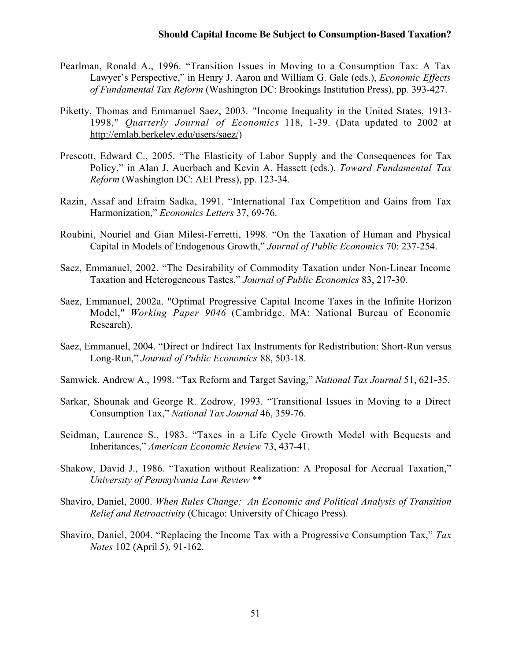- Pearlman, Ronald A., 1996. "Transition Issues in Moving to a Consumption Tax: A Tax Lawyer's Perspective," in Henry J. Aaron and William G. Gale (eds.), *Economic Effects of Fundamental Tax Reform* (Washington DC: Brookings Institution Press), pp. 393-427.
- Piketty, Thomas and Emmanuel Saez, 2003. "Income Inequality in the United States, 1913- 1998," *Quarterly Journal of Economics* 118, 1-39. (Data updated to 2002 at http://emlab.berkeley.edu/users/saez/)
- Prescott, Edward C., 2005. "The Elasticity of Labor Supply and the Consequences for Tax Policy," in Alan J. Auerbach and Kevin A. Hassett (eds.), *Toward Fundamental Tax Reform* (Washington DC: AEI Press), pp. 123-34.
- Razin, Assaf and Efraim Sadka, 1991. "International Tax Competition and Gains from Tax Harmonization," *Economics Letters* 37, 69-76.
- Roubini, Nouriel and Gian Milesi-Ferretti, 1998. "On the Taxation of Human and Physical Capital in Models of Endogenous Growth," *Journal of Public Economics* 70: 237-254.
- Saez, Emmanuel, 2002. "The Desirability of Commodity Taxation under Non-Linear Income Taxation and Heterogeneous Tastes," *Journal of Public Economics* 83, 217-30.
- Saez, Emmanuel, 2002a. "Optimal Progressive Capital Income Taxes in the Infinite Horizon Model," *Working Paper 9046* (Cambridge, MA: National Bureau of Economic Research).
- Saez, Emmanuel, 2004. "Direct or Indirect Tax Instruments for Redistribution: Short-Run versus Long-Run," *Journal of Public Economics* 88, 503-18.
- Samwick, Andrew A., 1998. "Tax Reform and Target Saving," *National Tax Journal* 51, 621-35.
- Sarkar, Shounak and George R. Zodrow, 1993. "Transitional Issues in Moving to a Direct Consumption Tax," *National Tax Journal* 46, 359-76.
- Seidman, Laurence S., 1983. "Taxes in a Life Cycle Growth Model with Bequests and Inheritances," *American Economic Review* 73, 437-41.
- Shakow, David J., 1986. "Taxation without Realization: A Proposal for Accrual Taxation," *University of Pennsylvania Law Review* \*\*
- Shaviro, Daniel, 2000. *When Rules Change: An Economic and Political Analysis of Transition Relief and Retroactivity* (Chicago: University of Chicago Press).
- Shaviro, Daniel, 2004. "Replacing the Income Tax with a Progressive Consumption Tax," *Tax Notes* 102 (April 5), 91-162.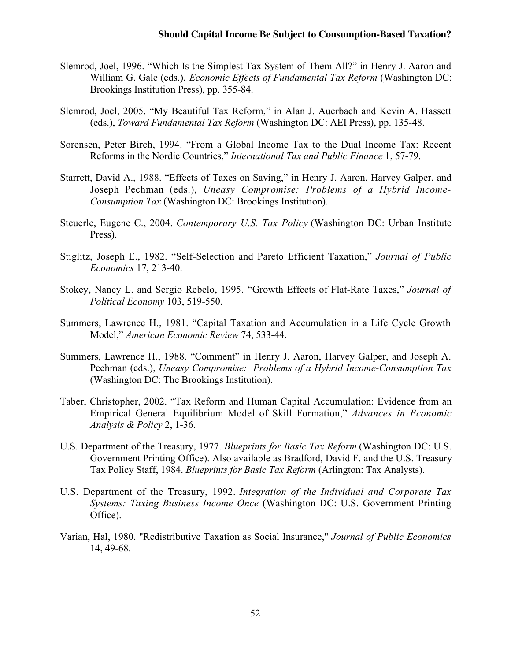- Slemrod, Joel, 1996. "Which Is the Simplest Tax System of Them All?" in Henry J. Aaron and William G. Gale (eds.), *Economic Effects of Fundamental Tax Reform* (Washington DC: Brookings Institution Press), pp. 355-84.
- Slemrod, Joel, 2005. "My Beautiful Tax Reform," in Alan J. Auerbach and Kevin A. Hassett (eds.), *Toward Fundamental Tax Reform* (Washington DC: AEI Press), pp. 135-48.
- Sorensen, Peter Birch, 1994. "From a Global Income Tax to the Dual Income Tax: Recent Reforms in the Nordic Countries," *International Tax and Public Finance* 1, 57-79.
- Starrett, David A., 1988. "Effects of Taxes on Saving," in Henry J. Aaron, Harvey Galper, and Joseph Pechman (eds.), *Uneasy Compromise: Problems of a Hybrid Income-Consumption Tax* (Washington DC: Brookings Institution).
- Steuerle, Eugene C., 2004. *Contemporary U.S. Tax Policy* (Washington DC: Urban Institute Press).
- Stiglitz, Joseph E., 1982. "Self-Selection and Pareto Efficient Taxation," *Journal of Public Economics* 17, 213-40.
- Stokey, Nancy L. and Sergio Rebelo, 1995. "Growth Effects of Flat-Rate Taxes," *Journal of Political Economy* 103, 519-550.
- Summers, Lawrence H., 1981. "Capital Taxation and Accumulation in a Life Cycle Growth Model," *American Economic Review* 74, 533-44.
- Summers, Lawrence H., 1988. "Comment" in Henry J. Aaron, Harvey Galper, and Joseph A. Pechman (eds.), *Uneasy Compromise: Problems of a Hybrid Income-Consumption Tax* (Washington DC: The Brookings Institution).
- Taber, Christopher, 2002. "Tax Reform and Human Capital Accumulation: Evidence from an Empirical General Equilibrium Model of Skill Formation," *Advances in Economic Analysis & Policy* 2, 1-36.
- U.S. Department of the Treasury, 1977. *Blueprints for Basic Tax Reform* (Washington DC: U.S. Government Printing Office). Also available as Bradford, David F. and the U.S. Treasury Tax Policy Staff, 1984. *Blueprints for Basic Tax Reform* (Arlington: Tax Analysts).
- U.S. Department of the Treasury, 1992. *Integration of the Individual and Corporate Tax Systems: Taxing Business Income Once* (Washington DC: U.S. Government Printing Office).
- Varian, Hal, 1980. "Redistributive Taxation as Social Insurance," *Journal of Public Economics* 14, 49-68.